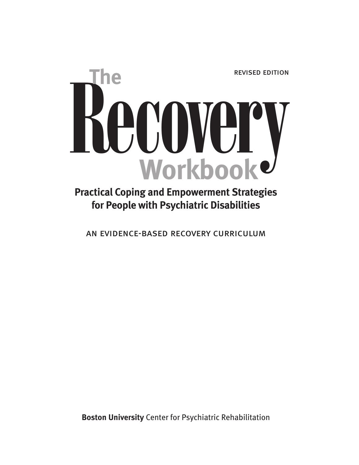

# **Practical Coping and Empowerment Strategies for People with Psychiatric Disabilities**

an evidence-based recovery curriculum

**Boston University** Center for Psychiatric Rehabilitation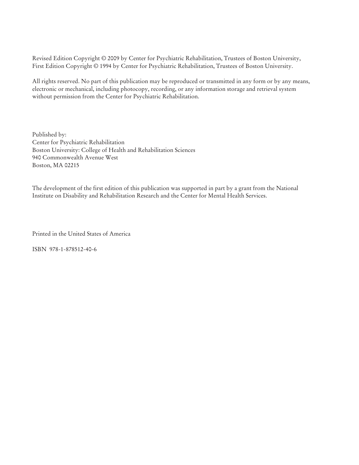Revised Edition Copyright © 2009 by Center for Psychiatric Rehabilitation, Trustees of Boston University, First Edition Copyright © 1994 by Center for Psychiatric Rehabilitation, Trustees of Boston University.

All rights reserved. No part of this publication may be reproduced or transmitted in any form or by any means, electronic or mechanical, including photocopy, recording, or any information storage and retrieval system without permission from the Center for Psychiatric Rehabilitation.

Published by: Center for Psychiatric Rehabilitation Boston University: College of Health and Rehabilitation Sciences 940 Commonwealth Avenue West Boston, MA 02215

The development of the first edition of this publication was supported in part by a grant from the National Institute on Disability and Rehabilitation Research and the Center for Mental Health Services.

Printed in the United States of America

ISBN 978-1-878512-40-6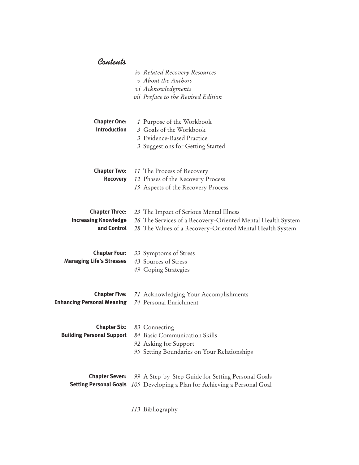# *Contents*

|                                                                     | iv Related Recovery Resources<br>v About the Authors<br>vi Acknowledgments<br>vii Preface to the Revised Edition                                                    |
|---------------------------------------------------------------------|---------------------------------------------------------------------------------------------------------------------------------------------------------------------|
| <b>Chapter One:</b><br><b>Introduction</b>                          | 1 Purpose of the Workbook<br>3 Goals of the Workbook<br>3 Evidence-Based Practice<br>3 Suggestions for Getting Started                                              |
| <b>Chapter Two:</b><br><b>Recovery</b>                              | 11 The Process of Recovery<br>12 Phases of the Recovery Process<br>15 Aspects of the Recovery Process                                                               |
| <b>Chapter Three:</b><br><b>Increasing Knowledge</b><br>and Control | 23 The Impact of Serious Mental Illness<br>26 The Services of a Recovery-Oriented Mental Health System<br>28 The Values of a Recovery-Oriented Mental Health System |
| <b>Chapter Four:</b><br><b>Managing Life's Stresses</b>             | 33 Symptoms of Stress<br>43 Sources of Stress<br>49 Coping Strategies                                                                                               |
| <b>Chapter Five:</b><br><b>Enhancing Personal Meaning</b>           | 71 Acknowledging Your Accomplishments<br>74 Personal Enrichment                                                                                                     |
| <b>Chapter Six:</b><br><b>Building Personal Support</b>             | 83 Connecting<br>84 Basic Communication Skills<br>92 Asking for Support<br>95 Setting Boundaries on Your Relationships                                              |
| <b>Chapter Seven:</b>                                               | 99 A Step-by-Step Guide for Setting Personal Goals<br>Setting Personal Goals 105 Developing a Plan for Achieving a Personal Goal                                    |

*113* Bibliography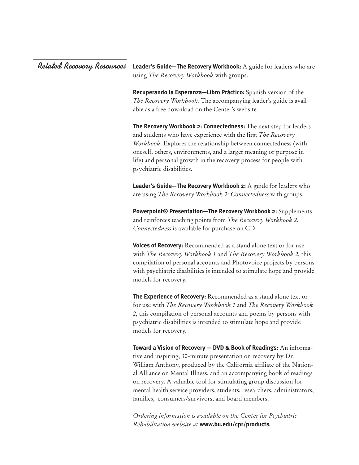#### **Leader's Guide—The Recovery Workbook:** A guide for leaders who are using *The Recovery Workbook* with groups. *Related Recovery Resources*

**Recuperando la Esperanza—Libro Práctico:** Spanish version of the *The Recovery Workbook.* The accompanying leader's guide is available as a free download on the Center's website.

**The Recovery Workbook 2: Connectedness:** The next step for leaders and students who have experience with the first *The Recovery Workbook*. Explores the relationship between connectedness (with oneself, others, environments, and a larger meaning or purpose in life) and personal growth in the recovery process for people with psychiatric disabilities.

**Leader's Guide—The Recovery Workbook 2:** A guide for leaders who are using *The Recovery Workbook 2: Connectedness* with groups.

**Powerpoint® Presentation—The Recovery Workbook 2:** Supplements and reinforces teaching points from *The Recovery Workbook 2: Connectedness* is available for purchase on CD.

**Voices of Recovery:** Recommended as a stand alone text or for use with *The Recovery Workbook 1* and *The Recovery Workbook 2,* this compilation of personal accounts and Photovoice projects by persons with psychiatric disabilities is intended to stimulate hope and provide models for recovery.

**The Experience of Recovery:** Recommended as a stand alone text or for use with *The Recovery Workbook 1* and *The Recovery Workbook 2,* this compilation of personal accounts and poems by persons with psychiatric disabilities is intended to stimulate hope and provide models for recovery.

**Toward a Vision of Recovery — DVD & Book of Readings:** An informative and inspiring, 30-minute presentation on recovery by Dr. William Anthony, produced by the California affiliate of the National Alliance on Mental Illness, and an accompanying book of readings on recovery. A valuable tool for stimulating group discussion for mental health service providers, students, researchers, administrators, families, consumers/survivors, and board members.

*Ordering information is available on the Center for Psychiatric Rehabilitation website at* **www.bu.edu/cpr/products***.*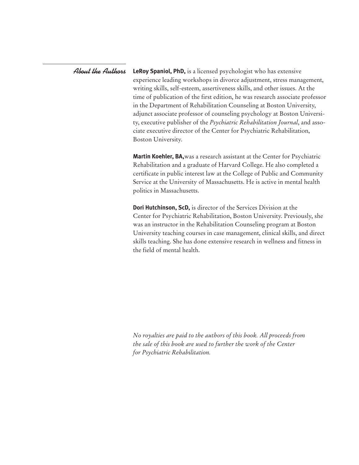**LeRoy Spaniol, PhD,** is a licensed psychologist who has extensive experience leading workshops in divorce adjustment, stress management, writing skills, self-esteem, assertiveness skills, and other issues. At the time of publication of the first edition, he was research associate professor in the Department of Rehabilitation Counseling at Boston University, adjunct associate professor of counseling psychology at Boston University, executive publisher of the *Psychiatric Rehabilitation Journal*, and associate executive director of the Center for Psychiatric Rehabilitation, Boston University. *About the Authors*

> **Martin Koehler, BA,**was a research assistant at the Center for Psychiatric Rehabilitation and a graduate of Harvard College. He also completed a certificate in public interest law at the College of Public and Community Service at the University of Massachusetts. He is active in mental health politics in Massachusetts.

> **Dori Hutchinson, ScD,** is director of the Services Division at the Center for Psychiatric Rehabilitation, Boston University. Previously, she was an instructor in the Rehabilitation Counseling program at Boston University teaching courses in case management, clinical skills, and direct skills teaching. She has done extensive research in wellness and fitness in the field of mental health.

*No royalties are paid to the authors of this book. All proceeds from the sale of this book are used to further the work of the Center for Psychiatric Rehabilitation.*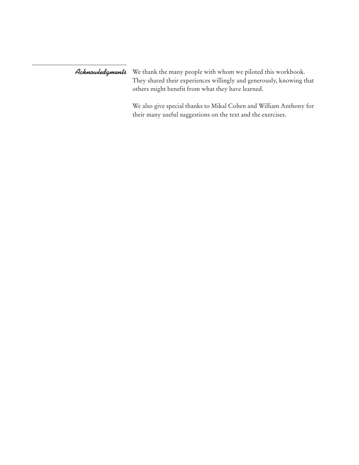*Acknowledgments* We thank the many people with whom we piloted this workbook. They shared their experiences willingly and generously, knowing that others might benefit from what they have learned.

> We also give special thanks to Mikal Cohen and William Anthony for their many useful suggestions on the text and the exercises.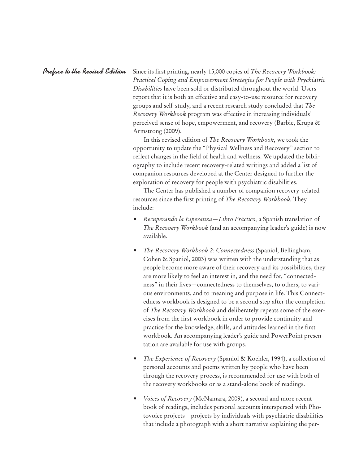*Preface to the Revised Edition*

Since its first printing, nearly 15,000 copies of *The Recovery Workbook: Practical Coping and Empowerment Strategies for People with Psychiatric Disabilities* have been sold or distributed throughout the world. Users report that it is both an effective and easy-to-use resource for recovery groups and self-study, and a recent research study concluded that *The Recovery Workbook* program was effective in increasing individuals' perceived sense of hope, empowerment, and recovery (Barbic, Krupa & Armstrong (2009).

In this revised edition of *The Recovery Workbook,* we took the opportunity to update the "Physical Wellness and Recovery" section to reflect changes in the field of health and wellness. We updated the bibliography to include recent recovery-related writings and added a list of companion resources developed at the Center designed to further the exploration of recovery for people with psychiatric disabilities.

The Center has published a number of companion recovery-related resources since the first printing of *The Recovery Workbook.* They include:

- *Recuperando la Esperanza—Libro Práctico,* a Spanish translation of *The Recovery Workbook* (and an accompanying leader's guide) is now available.
- *The Recovery Workbook 2: Connectedness* (Spaniol, Bellingham, Cohen & Spaniol, 2003) was written with the understanding that as people become more aware of their recovery and its possibilities, they are more likely to feel an interest in, and the need for, "connectedness" in their lives—connectedness to themselves, to others, to various environments, and to meaning and purpose in life. This Connectedness workbook is designed to be a second step after the completion of *The Recovery Workbook* and deliberately repeats some of the exercises from the first workbook in order to provide continuity and practice for the knowledge, skills, and attitudes learned in the first workbook. An accompanying leader's guide and PowerPoint presentation are available for use with groups.
- *The Experience of Recovery* (Spaniol & Koehler, 1994), a collection of personal accounts and poems written by people who have been through the recovery process, is recommended for use with both of the recovery workbooks or as a stand-alone book of readings.
- *Voices of Recovery* (McNamara, 2009), a second and more recent book of readings, includes personal accounts interspersed with Photovoice projects—projects by individuals with psychiatric disabilities that include a photograph with a short narrative explaining the per-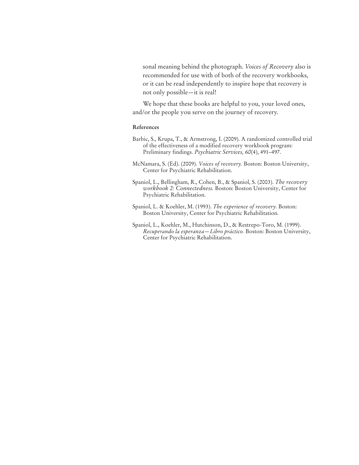sonal meaning behind the photograph. *Voices of Recovery* also is recommended for use with of both of the recovery workbooks, or it can be read independently to inspire hope that recovery is not only possible—it is real!

We hope that these books are helpful to you, your loved ones, and/or the people you serve on the journey of recovery.

#### **References**

- Barbic, S., Krupa, T., & Armstrong, I. (2009). A randomized controlled trial of the effectiveness of a modified recovery workbook program: Preliminary findings. *Psychiatric Services, 60*(4), 491–497.
- McNamara, S. (Ed). (2009). *Voices of recovery.* Boston: Boston University, Center for Psychiatric Rehabilitation.
- Spaniol, L., Bellingham, R., Cohen, B., & Spaniol, S. (2003). *The recovery workbook 2: Connectedness.* Boston: Boston University, Center for Psychiatric Rehabilitation.
- Spaniol, L. & Koehler, M. (1993). *The experience of recovery*. Boston: Boston University, Center for Psychiatric Rehabilitation.
- Spaniol, L., Koehler, M., Hutchinson, D., & Restrepo-Toro, M. (1999). *Recuperando la esperanza—Libro práctico.* Boston: Boston University, Center for Psychiatric Rehabilitation.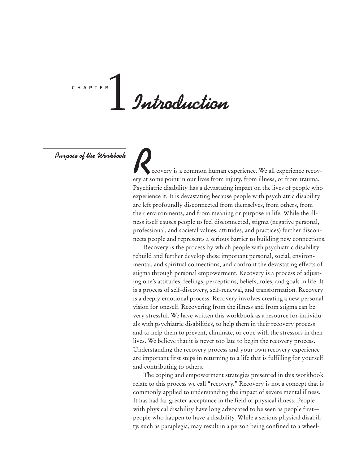# *Introduction* c h a p t e r 1

*Purpose of the Workbook*

ecovery is a common human experience. We all experience recovery at some point in our lives from injury, from illness, or from trauma. Psychiatric disability has a devastating impact on the lives of people who experience it. It is devastating because people with psychiatric disability are left profoundly disconnected from themselves, from others, from their environments, and from meaning or purpose in life. While the illness itself causes people to feel disconnected, stigma (negative personal, professional, and societal values, attitudes, and practices) further disconnects people and represents a serious barrier to building new connections.

Recovery is the process by which people with psychiatric disability rebuild and further develop these important personal, social, environmental, and spiritual connections, and confront the devastating effects of stigma through personal empowerment. Recovery is a process of adjusting one's attitudes, feelings, perceptions, beliefs, roles, and goals in life. It is a process of self-discovery, self-renewal, and transformation. Recovery is a deeply emotional process. Recovery involves creating a new personal vision for oneself. Recovering from the illness and from stigma can be very stressful. We have written this workbook as a resource for individuals with psychiatric disabilities, to help them in their recovery process and to help them to prevent, eliminate, or cope with the stressors in their lives. We believe that it is never too late to begin the recovery process. Understanding the recovery process and your own recovery experience are important first steps in returning to a life that is fulfilling for yourself and contributing to others.

The coping and empowerment strategies presented in this workbook relate to this process we call "recovery." Recovery is not a concept that is commonly applied to understanding the impact of severe mental illness. It has had far greater acceptance in the field of physical illness. People with physical disability have long advocated to be seen as people first people who happen to have a disability. While a serious physical disability, such as paraplegia, may result in a person being confined to a wheel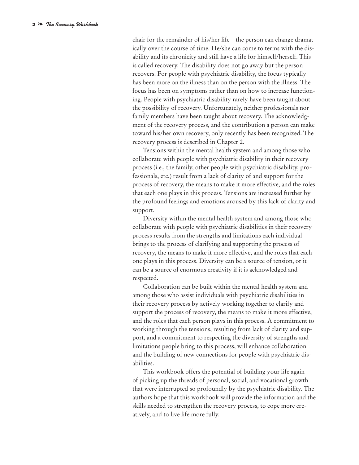chair for the remainder of his/her life—the person can change dramatically over the course of time. He/she can come to terms with the disability and its chronicity and still have a life for himself/herself. This is called recovery. The disability does not go away but the person recovers. For people with psychiatric disability, the focus typically has been more on the illness than on the person with the illness. The focus has been on symptoms rather than on how to increase functioning. People with psychiatric disability rarely have been taught about the possibility of recovery. Unfortunately, neither professionals nor family members have been taught about recovery. The acknowledgment of the recovery process, and the contribution a person can make toward his/her own recovery, only recently has been recognized. The recovery process is described in Chapter 2.

Tensions within the mental health system and among those who collaborate with people with psychiatric disability in their recovery process (i.e., the family, other people with psychiatric disability, professionals, etc.) result from a lack of clarity of and support for the process of recovery, the means to make it more effective, and the roles that each one plays in this process. Tensions are increased further by the profound feelings and emotions aroused by this lack of clarity and support.

Diversity within the mental health system and among those who collaborate with people with psychiatric disabilities in their recovery process results from the strengths and limitations each individual brings to the process of clarifying and supporting the process of recovery, the means to make it more effective, and the roles that each one plays in this process. Diversity can be a source of tension, or it can be a source of enormous creativity if it is acknowledged and respected.

Collaboration can be built within the mental health system and among those who assist individuals with psychiatric disabilities in their recovery process by actively working together to clarify and support the process of recovery, the means to make it more effective, and the roles that each person plays in this process. A commitment to working through the tensions, resulting from lack of clarity and support, and a commitment to respecting the diversity of strengths and limitations people bring to this process, will enhance collaboration and the building of new connections for people with psychiatric disabilities.

This workbook offers the potential of building your life again of picking up the threads of personal, social, and vocational growth that were interrupted so profoundly by the psychiatric disability. The authors hope that this workbook will provide the information and the skills needed to strengthen the recovery process, to cope more creatively, and to live life more fully.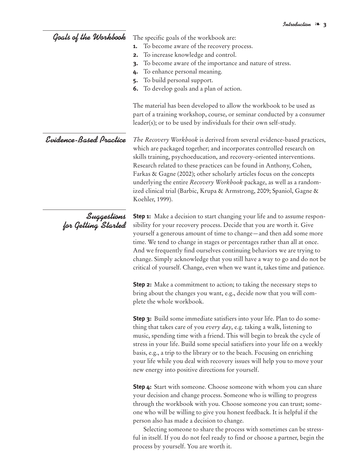# *Goals of the Workbook*

The specific goals of the workbook are:

- **1.** To become aware of the recovery process.
- **2.** To increase knowledge and control.
- **3.** To become aware of the importance and nature of stress.
- **4.** To enhance personal meaning.
- **5.** To build personal support.
- **6.** To develop goals and a plan of action.

The material has been developed to allow the workbook to be used as part of a training workshop, course, or seminar conducted by a consumer leader(s); or to be used by individuals for their own self-study.

## *Evidence-Based Practice*

*The Recovery Workbook* is derived from several evidence-based practices, which are packaged together; and incorporates controlled research on skills training, psychoeducation, and recovery-oriented interventions. Research related to these practices can be found in Anthony, Cohen, Farkas & Gagne (2002); other scholarly articles focus on the concepts underlying the entire *Recovery Workbook* package, as well as a randomized clinical trial (Barbic, Krupa & Armstrong, 2009; Spaniol, Gagne & Koehler, 1999).

*Suggestions for Getting Started*

**Step 1:** Make a decision to start changing your life and to assume responsibility for your recovery process. Decide that you are worth it. Give yourself a generous amount of time to change—and then add some more time. We tend to change in stages or percentages rather than all at once. And we frequently find ourselves continuing behaviors we are trying to change. Simply acknowledge that you still have a way to go and do not be critical of yourself. Change, even when we want it, takes time and patience.

**Step 2:** Make a commitment to action; to taking the necessary steps to bring about the changes you want, e.g., decide now that you will complete the whole workbook.

**Step 3:** Build some immediate satisfiers into your life. Plan to do something that takes care of you *every day*, e.g. taking a walk, listening to music, spending time with a friend. This will begin to break the cycle of stress in your life. Build some special satisfiers into your life on a weekly basis, e.g., a trip to the library or to the beach. Focusing on enriching your life while you deal with recovery issues will help you to move your new energy into positive directions for yourself.

**Step 4:** Start with someone. Choose someone with whom you can share your decision and change process. Someone who is willing to progress through the workbook with you. Choose someone you can trust; someone who will be willing to give you honest feedback. It is helpful if the person also has made a decision to change.

Selecting someone to share the process with sometimes can be stressful in itself. If you do not feel ready to find or choose a partner, begin the process by yourself. You are worth it.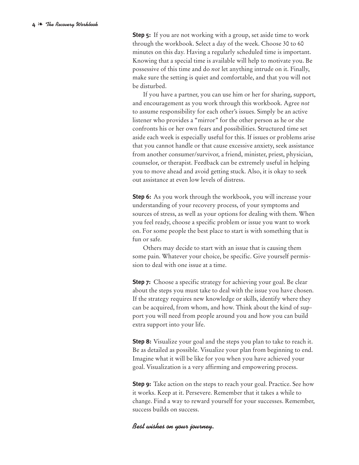**Step 5:** If you are not working with a group, set aside time to work through the workbook. Select a day of the week. Choose 30 to 60 minutes on this day. Having a regularly scheduled time is important. Knowing that a special time is available will help to motivate you. Be possessive of this time and do *not* let anything intrude on it. Finally, make sure the setting is quiet and comfortable, and that you will not be disturbed.

If you have a partner, you can use him or her for sharing, support, and encouragement as you work through this workbook. Agree *not* to assume responsibility for each other's issues. Simply be an active listener who provides a "mirror" for the other person as he or she confronts his or her own fears and possibilities. Structured time set aside each week is especially useful for this. If issues or problems arise that you cannot handle or that cause excessive anxiety, seek assistance from another consumer/survivor, a friend, minister, priest, physician, counselor, or therapist. Feedback can be extremely useful in helping you to move ahead and avoid getting stuck. Also, it is okay to seek out assistance at even low levels of distress.

**Step 6:** As you work through the workbook, you will increase your understanding of your recovery process, of your symptoms and sources of stress, as well as your options for dealing with them. When you feel ready, choose a specific problem or issue you want to work on. For some people the best place to start is with something that is fun or safe.

Others may decide to start with an issue that is causing them some pain. Whatever your choice, be specific. Give yourself permission to deal with one issue at a time.

**Step 7:** Choose a specific strategy for achieving your goal. Be clear about the steps you must take to deal with the issue you have chosen. If the strategy requires new knowledge or skills, identify where they can be acquired, from whom, and how. Think about the kind of support you will need from people around you and how you can build extra support into your life.

**Step 8:** Visualize your goal and the steps you plan to take to reach it. Be as detailed as possible. Visualize your plan from beginning to end. Imagine what it will be like for you when you have achieved your goal. Visualization is a very affirming and empowering process.

**Step 9:** Take action on the steps to reach your goal. Practice. See how it works. Keep at it. Persevere. Remember that it takes a while to change. Find a way to reward yourself for your successes. Remember, success builds on success.

#### *Best wishes on your journey.*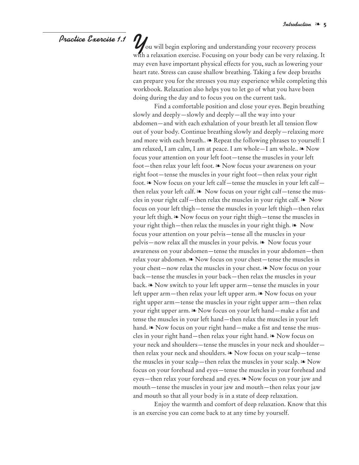### *Practice Exercise 1.1*

*Y*ou will begin exploring and understanding your recovery process with a relaxation exercise. Focusing on your body can be very relaxing. It may even have important physical effects for you, such as lowering your heart rate. Stress can cause shallow breathing. Taking a few deep breaths can prepare you for the stresses you may experience while completing this workbook. Relaxation also helps you to let go of what you have been doing during the day and to focus you on the current task.

Find a comfortable position and close your eyes. Begin breathing slowly and deeply—slowly and deeply—all the way into your abdomen—and with each exhalation of your breath let all tension flow out of your body. Continue breathing slowly and deeply—relaxing more and more with each breath..  $\triangle$  Repeat the following phrases to yourself: I am relaxed, I am calm, I am at peace. I am whole—I am whole.. ❧ Now focus your attention on your left foot—tense the muscles in your left foot—then relax your left foot. ❧ Now focus your awareness on your right foot—tense the muscles in your right foot—then relax your right foot. ❧ Now focus on your left calf—tense the muscles in your left calf then relax your left calf. ❧ Now focus on your right calf—tense the muscles in your right calf—then relax the muscles in your right calf. ❧ Now focus on your left thigh—tense the muscles in your left thigh—then relax your left thigh. ❧ Now focus on your right thigh—tense the muscles in your right thigh—then relax the muscles in your right thigh. ❧ Now focus your attention on your pelvis—tense all the muscles in your pelvis—now relax all the muscles in your pelvis. ❧ Now focus your awareness on your abdomen—tense the muscles in your abdomen—then relax your abdomen. ❧ Now focus on your chest—tense the muscles in your chest—now relax the muscles in your chest. ❧ Now focus on your back—tense the muscles in your back—then relax the muscles in your back. ❧ Now switch to your left upper arm—tense the muscles in your left upper arm—then relax your left upper arm. ❧ Now focus on your right upper arm—tense the muscles in your right upper arm—then relax your right upper arm. ❧ Now focus on your left hand—make a fist and tense the muscles in your left hand—then relax the muscles in your left hand.  $\triangle$  Now focus on your right hand—make a fist and tense the muscles in your right hand—then relax your right hand. ❧ Now focus on your neck and shoulders—tense the muscles in your neck and shoulder then relax your neck and shoulders. ❧ Now focus on your scalp—tense the muscles in your scalp—then relax the muscles in your scalp. ❧ Now focus on your forehead and eyes—tense the muscles in your forehead and eyes—then relax your forehead and eyes. ❧ Now focus on your jaw and mouth—tense the muscles in your jaw and mouth—then relax your jaw and mouth so that all your body is in a state of deep relaxation.

Enjoy the warmth and comfort of deep relaxation. Know that this is an exercise you can come back to at any time by yourself.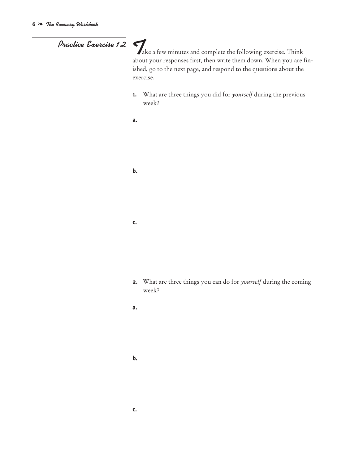*Practice Exercise 1.2* <sup>T</sup>ake a few minutes and complete the following exercise. Think about your responses first, then write them down. When you are finished, go to the next page, and respond to the questions about the exercise.

- **1.** What are three things you did for *yourself* during the previous week?
- **a.**

**b.**

#### **c.**

- **2.** What are three things you can do for *yourself* during the coming week?
- **a.**

#### **b.**

#### **c.**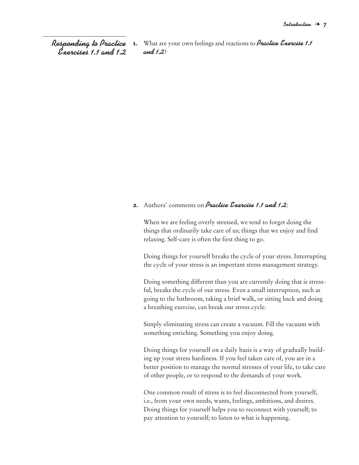*Responding to Practice Exercises 1.1 and 1.2* **1.** What are your own feelings and reactions to *Practice Exercise 1.1 and 1.2*?

#### **2.** Authors' comments on *Practice Exercise 1.1 and 1.2*:

When we are feeling overly stressed, we tend to forget doing the things that ordinarily take care of us; things that we enjoy and find relaxing. Self-care is often the first thing to go.

Doing things for yourself breaks the cycle of your stress. Interrupting the cycle of your stress is an important stress management strategy.

Doing something different than you are currently doing that is stressful, breaks the cycle of our stress. Even a small interruption, such as going to the bathroom, taking a brief walk, or sitting back and doing a breathing exercise, can break our stress cycle.

Simply eliminating stress can create a vacuum. Fill the vacuum with something enriching. Something you enjoy doing.

Doing things for yourself on a daily basis is a way of gradually building up your stress hardiness. If you feel taken care of, you are in a better position to manage the normal stresses of your life, to take care of other people, or to respond to the demands of your work.

One common result of stress is to feel disconnected from yourself, i.e., from your own needs, wants, feelings, ambitions, and desires. Doing things for yourself helps you to reconnect with yourself; to pay attention to yourself; to listen to what is happening.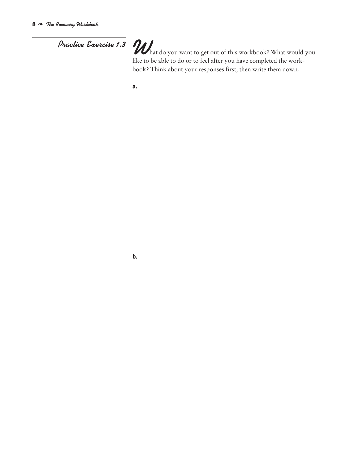# *Practice Exercise 1.3 What do you want to get out of this workbook?* What would you like to be able to do or to feel after you have completed the workbook? Think about your responses first, then write them down.

**b.**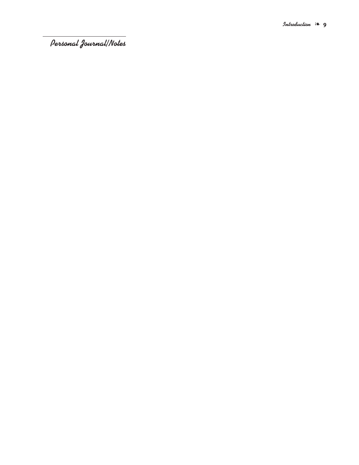*Personal Journal/Notes*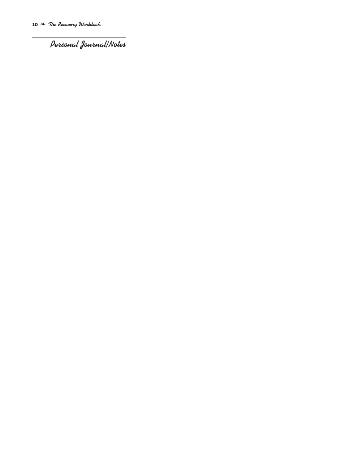*Personal Journal/Notes*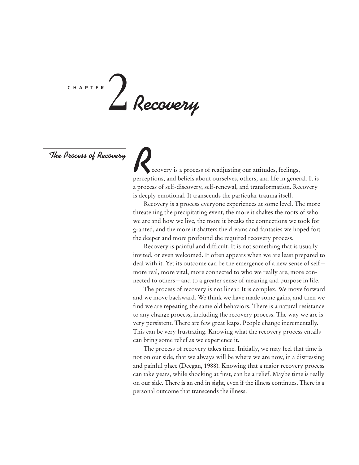# *Recovery* c h a p t e r 2

*The Process of Recovery*

ecovery is a process of readjusting our attitudes, feelings, perceptions, and beliefs about ourselves, others, and life in general. It is a process of self-discovery, self-renewal, and transformation. Recovery is deeply emotional. It transcends the particular trauma itself.

Recovery is a process everyone experiences at some level. The more threatening the precipitating event, the more it shakes the roots of who we are and how we live, the more it breaks the connections we took for granted, and the more it shatters the dreams and fantasies we hoped for; the deeper and more profound the required recovery process.

Recovery is painful and difficult. It is not something that is usually invited, or even welcomed. It often appears when we are least prepared to deal with it. Yet its outcome can be the emergence of a new sense of self more real, more vital, more connected to who we really are, more connected to others—and to a greater sense of meaning and purpose in life.

The process of recovery is not linear. It is complex. We move forward and we move backward. We think we have made some gains, and then we find we are repeating the same old behaviors. There is a natural resistance to any change process, including the recovery process. The way we are is very persistent. There are few great leaps. People change incrementally. This can be very frustrating. Knowing what the recovery process entails can bring some relief as we experience it.

The process of recovery takes time. Initially, we may feel that time is not on our side, that we always will be where we are now, in a distressing and painful place (Deegan, 1988). Knowing that a major recovery process can take years, while shocking at first, can be a relief. Maybe time is really on our side. There is an end in sight, even if the illness continues. There is a personal outcome that transcends the illness.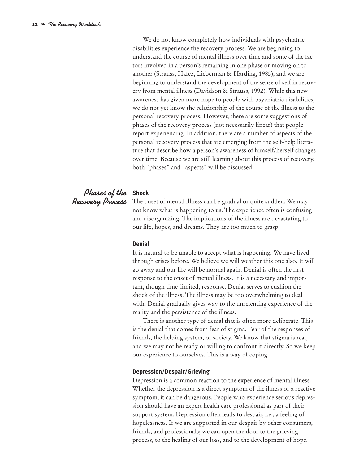We do not know completely how individuals with psychiatric disabilities experience the recovery process. We are beginning to understand the course of mental illness over time and some of the factors involved in a person's remaining in one phase or moving on to another (Strauss, Hafez, Lieberman & Harding, 1985), and we are beginning to understand the development of the sense of self in recovery from mental illness (Davidson & Strauss, 1992). While this new awareness has given more hope to people with psychiatric disabilities, we do not yet know the relationship of the course of the illness to the personal recovery process. However, there are some suggestions of phases of the recovery process (not necessarily linear) that people report experiencing. In addition, there are a number of aspects of the personal recovery process that are emerging from the self-help literature that describe how a person's awareness of himself/herself changes over time. Because we are still learning about this process of recovery, both "phases" and "aspects" will be discussed.

# *Phases of the* **Shock** *Recovery Process*

The onset of mental illness can be gradual or quite sudden. We may not know what is happening to us. The experience often is confusing and disorganizing. The implications of the illness are devastating to our life, hopes, and dreams. They are too much to grasp.

#### **Denial**

It is natural to be unable to accept what is happening. We have lived through crises before. We believe we will weather this one also. It will go away and our life will be normal again. Denial is often the first response to the onset of mental illness. It is a necessary and important, though time-limited, response. Denial serves to cushion the shock of the illness. The illness may be too overwhelming to deal with. Denial gradually gives way to the unrelenting experience of the reality and the persistence of the illness.

There is another type of denial that is often more deliberate. This is the denial that comes from fear of stigma. Fear of the responses of friends, the helping system, or society. We know that stigma is real, and we may not be ready or willing to confront it directly. So we keep our experience to ourselves. This is a way of coping.

#### **Depression/Despair/Grieving**

Depression is a common reaction to the experience of mental illness. Whether the depression is a direct symptom of the illness or a reactive symptom, it can be dangerous. People who experience serious depression should have an expert health care professional as part of their support system. Depression often leads to despair, i.e., a feeling of hopelessness. If we are supported in our despair by other consumers, friends, and professionals; we can open the door to the grieving process, to the healing of our loss, and to the development of hope.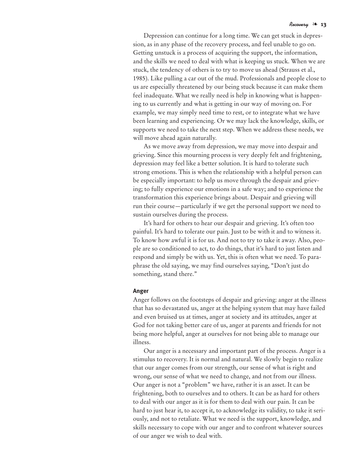Depression can continue for a long time. We can get stuck in depression, as in any phase of the recovery process, and feel unable to go on. Getting unstuck is a process of acquiring the support, the information, and the skills we need to deal with what is keeping us stuck. When we are stuck, the tendency of others is to try to move us ahead (Strauss et al., 1985). Like pulling a car out of the mud. Professionals and people close to us are especially threatened by our being stuck because it can make them feel inadequate. What we really need is help in knowing what is happening to us currently and what is getting in our way of moving on. For example, we may simply need time to rest, or to integrate what we have been learning and experiencing. Or we may lack the knowledge, skills, or supports we need to take the next step. When we address these needs, we will move ahead again naturally.

As we move away from depression, we may move into despair and grieving. Since this mourning process is very deeply felt and frightening, depression may feel like a better solution. It is hard to tolerate such strong emotions. This is when the relationship with a helpful person can be especially important: to help us move through the despair and grieving; to fully experience our emotions in a safe way; and to experience the transformation this experience brings about. Despair and grieving will run their course—particularly if we get the personal support we need to sustain ourselves during the process.

It's hard for others to hear our despair and grieving. It's often too painful. It's hard to tolerate our pain. Just to be with it and to witness it. To know how awful it is for us. And not to try to take it away. Also, people are so conditioned to act, to do things, that it's hard to just listen and respond and simply be with us. Yet, this is often what we need. To paraphrase the old saying, we may find ourselves saying, "Don't just do something, stand there."

#### **Anger**

Anger follows on the footsteps of despair and grieving: anger at the illness that has so devastated us, anger at the helping system that may have failed and even bruised us at times, anger at society and its attitudes, anger at God for not taking better care of us, anger at parents and friends for not being more helpful, anger at ourselves for not being able to manage our illness.

Our anger is a necessary and important part of the process. Anger is a stimulus to recovery. It is normal and natural. We slowly begin to realize that our anger comes from our strength, our sense of what is right and wrong, our sense of what we need to change, and not from our illness. Our anger is not a "problem" we have, rather it is an asset. It can be frightening, both to ourselves and to others. It can be as hard for others to deal with our anger as it is for them to deal with our pain. It can be hard to just hear it, to accept it, to acknowledge its validity, to take it seriously, and not to retaliate. What we need is the support, knowledge, and skills necessary to cope with our anger and to confront whatever sources of our anger we wish to deal with.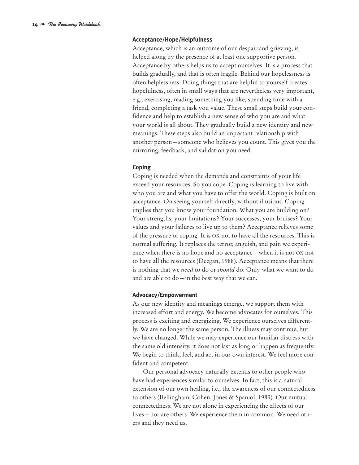#### **Acceptance/Hope/Helpfulness**

Acceptance, which is an outcome of our despair and grieving, is helped along by the presence of at least one supportive person. Acceptance by others helps us to accept ourselves. It is a process that builds gradually, and that is often fragile. Behind our hopelessness is often helplessness. Doing things that are helpful to yourself creates hopefulness, often in small ways that are nevertheless very important, e.g., exercising, reading something you like, spending time with a friend, completing a task you value. These small steps build your confidence and help to establish a new sense of who you are and what your world is all about. They gradually build a new identity and new meanings. These steps also build an important relationship with another person—someone who believes you count. This gives you the mirroring, feedback, and validation you need.

#### **Coping**

Coping is needed when the demands and constraints of your life exceed your resources. So you cope. Coping is learning to live with who you are and what you have to offer the world. Coping is built on acceptance. On seeing yourself directly, without illusions. Coping implies that you know your foundation. What you are building on? Your strengths, your limitations? Your successes, your bruises? Your values and your failures to live up to them? Acceptance relieves some of the pressure of coping. It is OK not to have all the resources. This is normal suffering. It replaces the terror, anguish, and pain we experience when there is no hope and no acceptance—when it is not OK not to have all the resources (Deegan, 1988). Acceptance means that there is nothing that we *need* to do or *should* do. Only what we want to do and are able to do—in the best way that we can.

#### **Advocacy/Empowerment**

As our new identity and meanings emerge, we support them with increased effort and energy. We become advocates for ourselves. This process is exciting and energizing. We experience ourselves differently. We are no longer the same person. The illness may continue, but we have changed. While we may experience our familiar distress with the same old intensity, it does not last as long or happen as frequently. We begin to think, feel, and act in our own interest. We feel more confident and competent.

Our personal advocacy naturally extends to other people who have had experiences similar to ourselves. In fact, this is a natural extension of our own healing, i.e., the awareness of our connectedness to others (Bellingham, Cohen, Jones & Spaniol, 1989). Our mutual connectedness. We are not alone in experiencing the effects of our lives—nor are others. We experience them in common. We need others and they need us.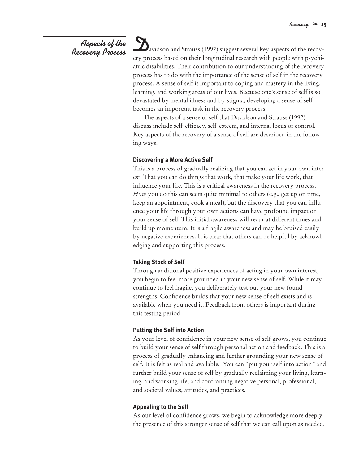# *Aspects of the Recovery Process*

*D*avidson and Strauss (1992) suggest several key aspects of the recovery process based on their longitudinal research with people with psychiatric disabilities. Their contribution to our understanding of the recovery process has to do with the importance of the sense of self in the recovery process. A sense of self is important to coping and mastery in the living, learning, and working areas of our lives. Because one's sense of self is so devastated by mental illness and by stigma, developing a sense of self becomes an important task in the recovery process.

The aspects of a sense of self that Davidson and Strauss (1992) discuss include self-efficacy, self-esteem, and internal locus of control. Key aspects of the recovery of a sense of self are described in the following ways.

#### **Discovering a More Active Self**

This is a process of gradually realizing that you can act in your own interest. That you can do things that work, that make your life work, that influence your life. This is a critical awareness in the recovery process. *How* you do this can seem quite minimal to others (e.g., get up on time, keep an appointment, cook a meal), but the discovery that you can influence your life through your own actions can have profound impact on your sense of self. This initial awareness will recur at different times and build up momentum. It is a fragile awareness and may be bruised easily by negative experiences. It is clear that others can be helpful by acknowledging and supporting this process.

#### **Taking Stock of Self**

Through additional positive experiences of acting in your own interest, you begin to feel more grounded in your new sense of self. While it may continue to feel fragile, you deliberately test out your new found strengths. Confidence builds that your new sense of self exists and is available when you need it. Feedback from others is important during this testing period.

#### **Putting the Self into Action**

As your level of confidence in your new sense of self grows, you continue to build your sense of self through personal action and feedback. This is a process of gradually enhancing and further grounding your new sense of self. It is felt as real and available. You can "put your self into action" and further build your sense of self by gradually reclaiming your living, learning, and working life; and confronting negative personal, professional, and societal values, attitudes, and practices.

#### **Appealing to the Self**

As our level of confidence grows, we begin to acknowledge more deeply the presence of this stronger sense of self that we can call upon as needed.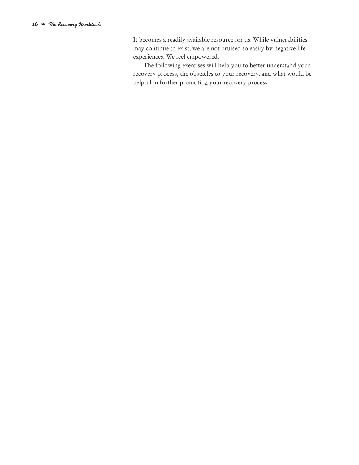It becomes a readily available resource for us. While vulnerabilities may continue to exist, we are not bruised so easily by negative life experiences. We feel empowered.

The following exercises will help you to better understand your recovery process, the obstacles to your recovery, and what would be helpful in further promoting your recovery process.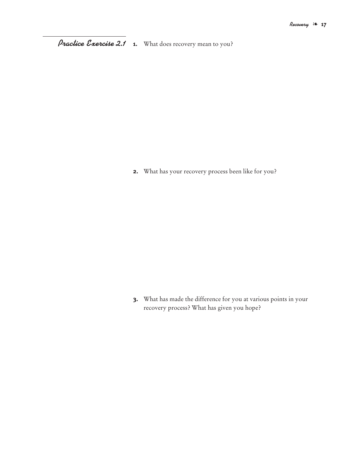**1.** What does recovery mean to you? *Practice Exercise 2.1*

**2.** What has your recovery process been like for you?

**3.** What has made the difference for you at various points in your recovery process? What has given you hope?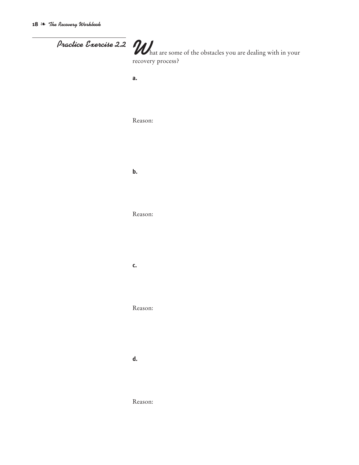| Practice Exercise 2.2 Mat are some of the obstacles you are dealing with in your |
|----------------------------------------------------------------------------------|
| recovery process?<br>a.                                                          |
|                                                                                  |
| Reason:                                                                          |
|                                                                                  |
|                                                                                  |
| b.                                                                               |
|                                                                                  |
| Reason:                                                                          |
|                                                                                  |
| C.                                                                               |
|                                                                                  |
| Reason:                                                                          |
|                                                                                  |
| d.                                                                               |
|                                                                                  |
|                                                                                  |

Reason: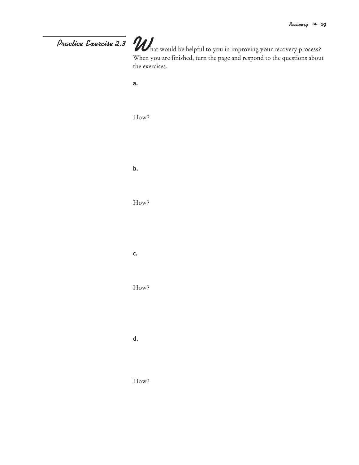# **What would be helpful to you in improving your recovery process?**<br>When you are finished, turn the page and respond to the questions about the exercises. **a.** How? **b.** How? **c.** How? **d.** How? *Practice Exercise 2.3*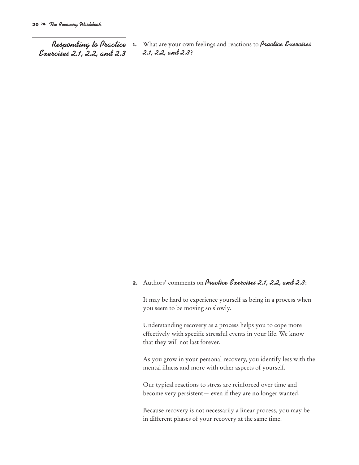*Responding to Practice Exercises 2.1, 2.2, and 2.3*

**1.** What are your own feelings and reactions to *Practice Exercises 2.1, 2.2, and 2.3*?

#### **2.** Authors' comments on *Practice Exercises 2.1, 2.2, and 2.3*:

It may be hard to experience yourself as being in a process when you seem to be moving so slowly.

Understanding recovery as a process helps you to cope more effectively with specific stressful events in your life. We know that they will not last forever.

As you grow in your personal recovery, you identify less with the mental illness and more with other aspects of yourself.

Our typical reactions to stress are reinforced over time and become very persistent— even if they are no longer wanted.

Because recovery is not necessarily a linear process, you may be in different phases of your recovery at the same time.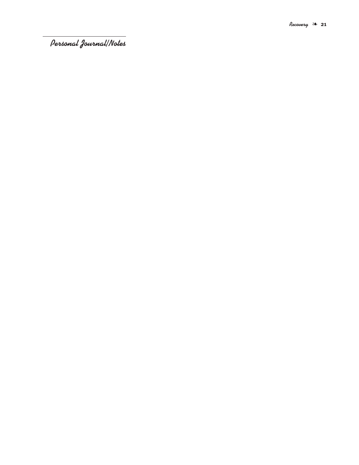*Personal Journal/Notes*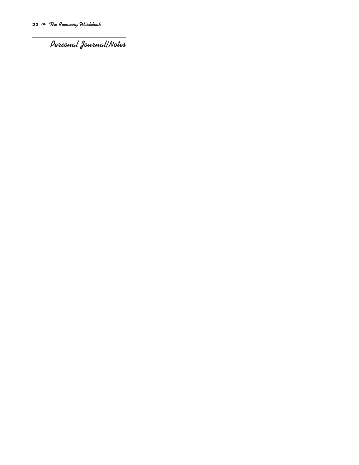*Personal Journal/Notes*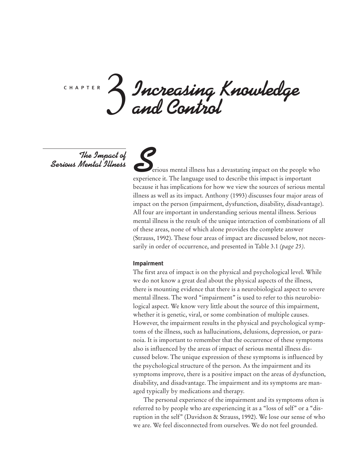*Increasing Knowledge and Control* c h a p t e r 3

*The Impact of Serious Mental Illness*

**S**erious mental illness has a devastating impact on the people who experience it. The language used to describe this impact is important because it has implications for how we view the sources of serious mental illness as well as its impact. Anthony (1993) discusses four major areas of impact on the person (impairment, dysfunction, disability, disadvantage). All four are important in understanding serious mental illness. Serious mental illness is the result of the unique interaction of combinations of all of these areas, none of which alone provides the complete answer (Strauss, 1992). These four areas of impact are discussed below, not necessarily in order of occurrence, and presented in Table 3.1 *(page 25)*.

#### **Impairment**

The first area of impact is on the physical and psychological level. While we do not know a great deal about the physical aspects of the illness, there is mounting evidence that there is a neurobiological aspect to severe mental illness. The word "impairment" is used to refer to this neurobiological aspect. We know very little about the source of this impairment, whether it is genetic, viral, or some combination of multiple causes. However, the impairment results in the physical and psychological symptoms of the illness, such as hallucinations, delusions, depression, or paranoia. It is important to remember that the occurrence of these symptoms also is influenced by the areas of impact of serious mental illness discussed below. The unique expression of these symptoms is influenced by the psychological structure of the person. As the impairment and its symptoms improve, there is a positive impact on the areas of dysfunction, disability, and disadvantage. The impairment and its symptoms are managed typically by medications and therapy.

The personal experience of the impairment and its symptoms often is referred to by people who are experiencing it as a "loss of self" or a "disruption in the self" (Davidson & Strauss, 1992). We lose our sense of who we are. We feel disconnected from ourselves. We do not feel grounded.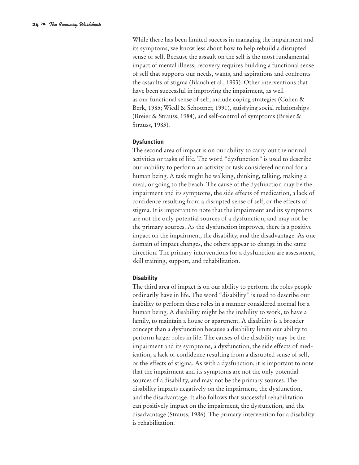While there has been limited success in managing the impairment and its symptoms, we know less about how to help rebuild a disrupted sense of self. Because the assault on the self is the most fundamental impact of mental illness; recovery requires building a functional sense of self that supports our needs, wants, and aspirations and confronts the assaults of stigma (Blanch et al., 1993). Other interventions that have been successful in improving the impairment, as well as our functional sense of self, include coping strategies (Cohen & Berk, 1985; Wiedl & Schottner, 1991), satisfying social relationships (Breier & Strauss, 1984), and self-control of symptoms (Breier & Strauss, 1983).

#### **Dysfunction**

The second area of impact is on our ability to carry out the normal activities or tasks of life. The word "dysfunction" is used to describe our inability to perform an activity or task considered normal for a human being. A task might be walking, thinking, talking, making a meal, or going to the beach. The cause of the dysfunction may be the impairment and its symptoms, the side effects of medication, a lack of confidence resulting from a disrupted sense of self, or the effects of stigma. It is important to note that the impairment and its symptoms are not the only potential sources of a dysfunction, and may not be the primary sources. As the dysfunction improves, there is a positive impact on the impairment, the disability, and the disadvantage. As one domain of impact changes, the others appear to change in the same direction. The primary interventions for a dysfunction are assessment, skill training, support, and rehabilitation.

#### **Disability**

The third area of impact is on our ability to perform the roles people ordinarily have in life. The word "disability" is used to describe our inability to perform these roles in a manner considered normal for a human being. A disability might be the inability to work, to have a family, to maintain a house or apartment. A disability is a broader concept than a dysfunction because a disability limits our ability to perform larger roles in life. The causes of the disability may be the impairment and its symptoms, a dysfunction, the side effects of medication, a lack of confidence resulting from a disrupted sense of self, or the effects of stigma. As with a dysfunction, it is important to note that the impairment and its symptoms are not the only potential sources of a disability, and may not be the primary sources. The disability impacts negatively on the impairment, the dysfunction, and the disadvantage. It also follows that successful rehabilitation can positively impact on the impairment, the dysfunction, and the disadvantage (Strauss, 1986). The primary intervention for a disability is rehabilitation.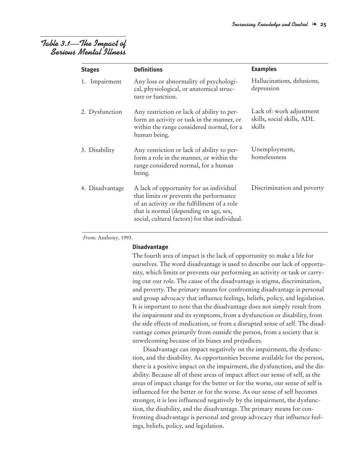## *Table 3.1—The Impact of Serious Mental Illness*

| <b>Stages</b>   | <b>Definitions</b>                                                                                                                                                                                                            | <b>Examples</b>                                                  |
|-----------------|-------------------------------------------------------------------------------------------------------------------------------------------------------------------------------------------------------------------------------|------------------------------------------------------------------|
| 1. Impairment   | Any loss or abnormality of psychologi-<br>cal, physiological, or anatomical struc-<br>ture or function.                                                                                                                       | Hallucinations, delusions,<br>depression                         |
| 2. Dysfunction  | Any restriction or lack of ability to per-<br>form an activity or task in the manner, or<br>within the range considered normal, for a<br>human being.                                                                         | Lack of: work adjustment<br>skills, social skills, ADL<br>skills |
| 3. Disability   | Any restriction or lack of ability to per-<br>form a role in the manner, or within the<br>range considered normal, for a human<br>being.                                                                                      | Unemployment,<br>homelessness                                    |
| 4. Disadvantage | A lack of opportunity for an individual<br>that limits or prevents the performance<br>of an activity or the fulfillment of a role<br>that is normal (depending on age, sex,<br>social, cultural factors) for that individual. | Discrimination and poverty                                       |

*From:* Anthony, 1993.

#### **Disadvantage**

The fourth area of impact is the lack of opportunity to make a life for ourselves. The word disadvantage is used to describe our lack of opportunity, which limits or prevents our performing an activity or task or carrying out our role. The cause of the disadvantage is stigma, discrimination, and poverty. The primary means for confronting disadvantage is personal and group advocacy that influence feelings, beliefs, policy, and legislation. It is important to note that the disadvantage does not simply result from the impairment and its symptoms, from a dysfunction or disability, from the side effects of medication, or from a disrupted sense of self. The disadvantage comes primarily from outside the person, from a society that is unwelcoming because of its biases and prejudices.

Disadvantage can impact negatively on the impairment, the dysfunction, and the disability. As opportunities become available for the person, there is a positive impact on the impairment, the dysfunction, and the disability. Because all of these areas of impact affect our sense of self, as the areas of impact change for the better or for the worse, our sense of self is influenced for the better or for the worse. As our sense of self becomes stronger, it is less influenced negatively by the impairment, the dysfunction, the disability, and the disadvantage. The primary means for confronting disadvantage is personal and group advocacy that influence feelings, beliefs, policy, and legislation.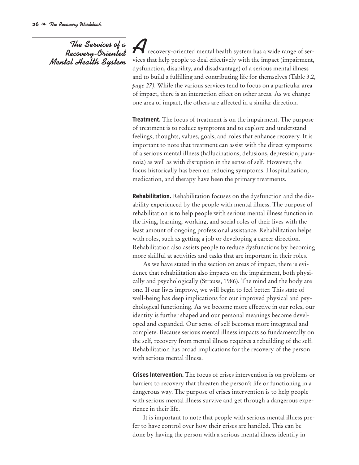## *The Services of a Recovery-Oriented Mental Health System*

**A** recovery-oriented mental health system has a wide range of services that help people to deal effectively with the impact (impairment, dysfunction, disability, and disadvantage) of a serious mental illness and to build a fulfilling and contributing life for themselves (Table 3.2, *page 27)*. While the various services tend to focus on a particular area of impact, there is an interaction effect on other areas. As we change one area of impact, the others are affected in a similar direction.

**Treatment.** The focus of treatment is on the impairment. The purpose of treatment is to reduce symptoms and to explore and understand feelings, thoughts, values, goals, and roles that enhance recovery. It is important to note that treatment can assist with the direct symptoms of a serious mental illness (hallucinations, delusions, depression, paranoia) as well as with disruption in the sense of self. However, the focus historically has been on reducing symptoms. Hospitalization, medication, and therapy have been the primary treatments.

**Rehabilitation.** Rehabilitation focuses on the dysfunction and the disability experienced by the people with mental illness. The purpose of rehabilitation is to help people with serious mental illness function in the living, learning, working, and social roles of their lives with the least amount of ongoing professional assistance. Rehabilitation helps with roles, such as getting a job or developing a career direction. Rehabilitation also assists people to reduce dysfunctions by becoming more skillful at activities and tasks that are important in their roles.

As we have stated in the section on areas of impact, there is evidence that rehabilitation also impacts on the impairment, both physically and psychologically (Strauss, 1986). The mind and the body are one. If our lives improve, we will begin to feel better. This state of well-being has deep implications for our improved physical and psychological functioning. As we become more effective in our roles, our identity is further shaped and our personal meanings become developed and expanded. Our sense of self becomes more integrated and complete. Because serious mental illness impacts so fundamentally on the self, recovery from mental illness requires a rebuilding of the self. Rehabilitation has broad implications for the recovery of the person with serious mental illness.

**Crises Intervention.** The focus of crises intervention is on problems or barriers to recovery that threaten the person's life or functioning in a dangerous way. The purpose of crises intervention is to help people with serious mental illness survive and get through a dangerous experience in their life.

It is important to note that people with serious mental illness prefer to have control over how their crises are handled. This can be done by having the person with a serious mental illness identify in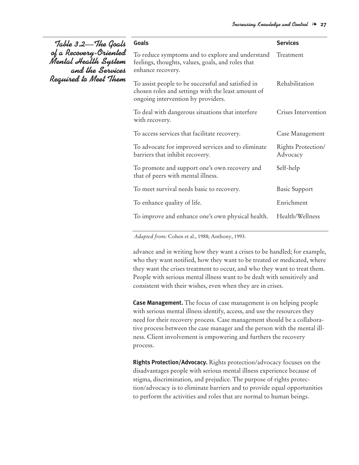| Table 3.2—The Goals                                                | <b>Goals</b>                                                                                                                                   | <b>Services</b>                |
|--------------------------------------------------------------------|------------------------------------------------------------------------------------------------------------------------------------------------|--------------------------------|
| of a Recovery-Oriented<br>Mental Health System<br>and the Services | To reduce symptoms and to explore and understand<br>feelings, thoughts, values, goals, and roles that<br>enhance recovery.                     | Treatment                      |
| Required to Meet Them                                              | To assist people to be successful and satisfied in<br>chosen roles and settings with the least amount of<br>ongoing intervention by providers. | Rehabilitation                 |
|                                                                    | To deal with dangerous situations that interfere<br>with recovery.                                                                             | Crises Intervention            |
|                                                                    | To access services that facilitate recovery.                                                                                                   | Case Management                |
|                                                                    | To advocate for improved services and to eliminate<br>barriers that inhibit recovery.                                                          | Rights Protection/<br>Advocacy |
|                                                                    | To promote and support one's own recovery and<br>that of peers with mental illness.                                                            | Self-help                      |
|                                                                    | To meet survival needs basic to recovery.                                                                                                      | <b>Basic Support</b>           |
|                                                                    | To enhance quality of life.                                                                                                                    | Enrichment                     |
|                                                                    | To improve and enhance one's own physical health.                                                                                              | Health/Wellness                |

*Adapted from:* Cohen et al., 1988; Anthony, 1993.

advance and in writing how they want a crises to be handled; for example, who they want notified, how they want to be treated or medicated, where they want the crises treatment to occur, and who they want to treat them. People with serious mental illness want to be dealt with sensitively and consistent with their wishes, even when they are in crises.

**Case Management.** The focus of case management is on helping people with serious mental illness identify, access, and use the resources they need for their recovery process. Case management should be a collaborative process between the case manager and the person with the mental illness. Client involvement is empowering and furthers the recovery process.

**Rights Protection/Advocacy.** Rights protection/advocacy focuses on the disadvantages people with serious mental illness experience because of stigma, discrimination, and prejudice. The purpose of rights protection/advocacy is to eliminate barriers and to provide equal opportunities to perform the activities and roles that are normal to human beings.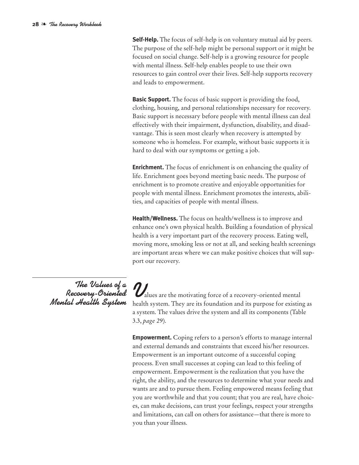**Self-Help.** The focus of self-help is on voluntary mutual aid by peers. The purpose of the self-help might be personal support or it might be focused on social change. Self-help is a growing resource for people with mental illness. Self-help enables people to use their own resources to gain control over their lives. Self-help supports recovery and leads to empowerment.

**Basic Support.** The focus of basic support is providing the food, clothing, housing, and personal relationships necessary for recovery. Basic support is necessary before people with mental illness can deal effectively with their impairment, dysfunction, disability, and disadvantage. This is seen most clearly when recovery is attempted by someone who is homeless. For example, without basic supports it is hard to deal with our symptoms or getting a job.

**Enrichment.** The focus of enrichment is on enhancing the quality of life. Enrichment goes beyond meeting basic needs. The purpose of enrichment is to promote creative and enjoyable opportunities for people with mental illness. Enrichment promotes the interests, abilities, and capacities of people with mental illness.

**Health/Wellness.** The focus on health/wellness is to improve and enhance one's own physical health. Building a foundation of physical health is a very important part of the recovery process. Eating well, moving more, smoking less or not at all, and seeking health screenings are important areas where we can make positive choices that will support our recovery.

*The Values of a Recovery-Oriented Mental Health System*

*V*alues are the motivating force of <sup>a</sup> recovery-oriented mental health system. They are its foundation and its purpose for existing as a system. The values drive the system and all its components (Table 3.3, *page 29*).

**Empowerment.** Coping refers to a person's efforts to manage internal and external demands and constraints that exceed his/her resources. Empowerment is an important outcome of a successful coping process. Even small successes at coping can lead to this feeling of empowerment. Empowerment is the realization that you have the right, the ability, and the resources to determine what your needs and wants are and to pursue them. Feeling empowered means feeling that you are worthwhile and that you count; that you are real, have choices, can make decisions, can trust your feelings, respect your strengths and limitations, can call on others for assistance—that there is more to you than your illness.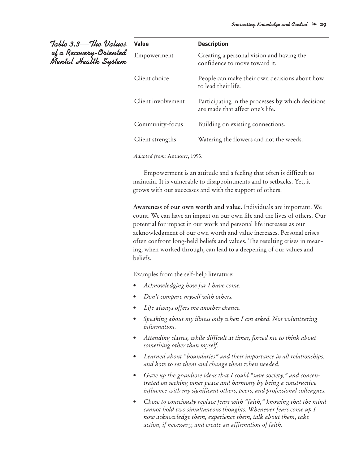| Table 3.3—The Values<br>of a Recovery-Oriented<br>Mental Health System | Value              | <b>Description</b>                                                                    |
|------------------------------------------------------------------------|--------------------|---------------------------------------------------------------------------------------|
|                                                                        | Empowerment        | Creating a personal vision and having the<br>confidence to move toward it.            |
|                                                                        | Client choice      | People can make their own decisions about how<br>to lead their life.                  |
|                                                                        | Client involvement | Participating in the processes by which decisions<br>are made that affect one's life. |
|                                                                        | Community-focus    | Building on existing connections.                                                     |
|                                                                        | Client strengths   | Watering the flowers and not the weeds.                                               |
|                                                                        |                    |                                                                                       |

*Adapted from:* Anthony, 1993.

Empowerment is an attitude and a feeling that often is difficult to maintain. It is vulnerable to disappointments and to setbacks. Yet, it grows with our successes and with the support of others.

**Awareness of our own worth and value.** Individuals are important. We count. We can have an impact on our own life and the lives of others. Our potential for impact in our work and personal life increases as our acknowledgment of our own worth and value increases. Personal crises often confront long-held beliefs and values. The resulting crises in meaning, when worked through, can lead to a deepening of our values and beliefs.

Examples from the self-help literature:

- *• Acknowledging how far I have come.*
- *• Don't compare myself with others.*
- *• Life always offers me another chance.*
- *• Speaking about my illness only when I am asked. Not volunteering information.*
- *• Attending classes, while difficult at times, forced me to think about something other than myself.*
- *• Learned about "boundaries" and their importance in all relationships, and how to set them and change them when needed.*
- *• Gave up the grandiose ideas that I could "save society," and concentrated on seeking inner peace and harmony by being a constructive influence with my significant others, peers, and professional colleagues.*
- *• Chose to consciously replace fears with "faith," knowing that the mind cannot hold two simultaneous thoughts. Whenever fears come up I now acknowledge them, experience them, talk about them, take action, if necessary, and create an affirmation of faith.*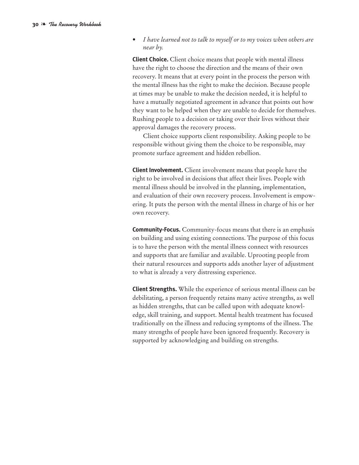*• I have learned not to talk to myself or to my voices when others are near by.*

**Client Choice.** Client choice means that people with mental illness have the right to choose the direction and the means of their own recovery. It means that at every point in the process the person with the mental illness has the right to make the decision. Because people at times may be unable to make the decision needed, it is helpful to have a mutually negotiated agreement in advance that points out how they want to be helped when they are unable to decide for themselves. Rushing people to a decision or taking over their lives without their approval damages the recovery process.

Client choice supports client responsibility. Asking people to be responsible without giving them the choice to be responsible, may promote surface agreement and hidden rebellion.

**Client Involvement.** Client involvement means that people have the right to be involved in decisions that affect their lives. People with mental illness should be involved in the planning, implementation, and evaluation of their own recovery process. Involvement is empowering. It puts the person with the mental illness in charge of his or her own recovery.

**Community-Focus.** Community-focus means that there is an emphasis on building and using existing connections. The purpose of this focus is to have the person with the mental illness connect with resources and supports that are familiar and available. Uprooting people from their natural resources and supports adds another layer of adjustment to what is already a very distressing experience.

**Client Strengths.** While the experience of serious mental illness can be debilitating, a person frequently retains many active strengths, as well as hidden strengths, that can be called upon with adequate knowledge, skill training, and support. Mental health treatment has focused traditionally on the illness and reducing symptoms of the illness. The many strengths of people have been ignored frequently. Recovery is supported by acknowledging and building on strengths.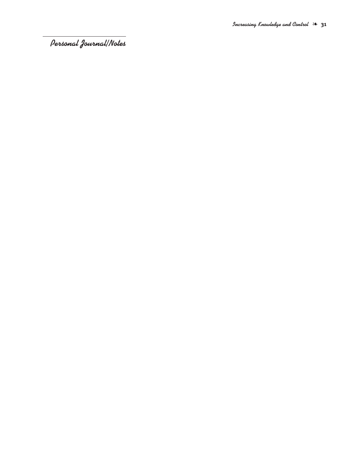*Personal Journal/Notes*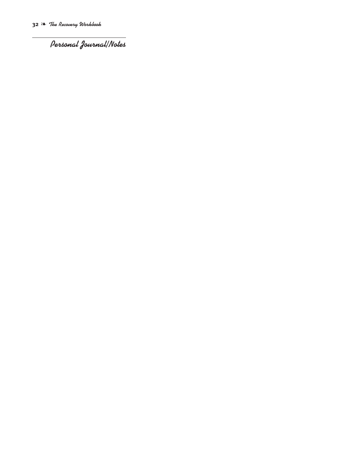*Personal Journal/Notes*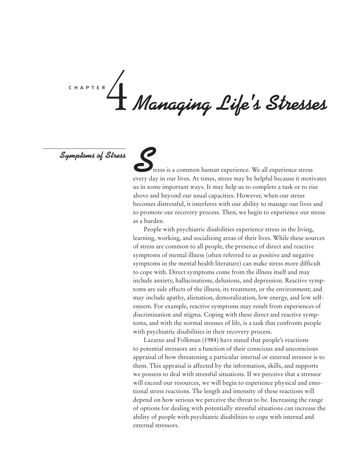# *Managing Life 's Stresses* c h a p t e r 4

*Symptoms of Stress*

**S**tress is a common human experience. We all experience stress every day in our lives. At times, stress may be helpful because it motivates us in some important ways. It may help us to complete a task or to rise above and beyond our usual capacities. However, when our stress becomes distressful, it interferes with our ability to manage our lives and to promote our recovery process. Then, we begin to experience our stress as a burden.

People with psychiatric disabilities experience stress in the living, learning, working, and socializing areas of their lives. While these sources of stress are common to all people, the presence of direct and reactive symptoms of mental illness (often referred to as positive and negative symptoms in the mental health literature) can make stress more difficult to cope with. Direct symptoms come from the illness itself and may include anxiety, hallucinations, delusions, and depression. Reactive symptoms are side effects of the illness, its treatment, or the environment; and may include apathy, alienation, demoralization, low energy, and low selfesteem. For example, reactive symptoms may result from experiences of discrimination and stigma. Coping with these direct and reactive symptoms, and with the normal stresses of life, is a task that confronts people with psychiatric disabilities in their recovery process.

Lazarus and Folkman (1984) have stated that people's reactions to potential stressors are a function of their conscious and unconscious appraisal of how threatening a particular internal or external stressor is to them. This appraisal is affected by the information, skills, and supports we possess to deal with stressful situations. If we perceive that a stressor will exceed our resources, we will begin to experience physical and emotional stress reactions. The length and intensity of these reactions will depend on how serious we perceive the threat to be. Increasing the range of options for dealing with potentially stressful situations can increase the ability of people with psychiatric disabilities to cope with internal and external stressors.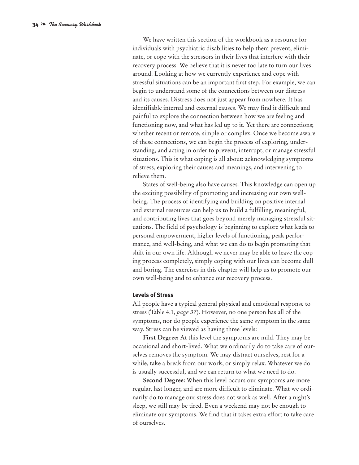We have written this section of the workbook as a resource for individuals with psychiatric disabilities to help them prevent, eliminate, or cope with the stressors in their lives that interfere with their recovery process. We believe that it is never too late to turn our lives around. Looking at how we currently experience and cope with stressful situations can be an important first step. For example, we can begin to understand some of the connections between our distress and its causes. Distress does not just appear from nowhere. It has identifiable internal and external causes. We may find it difficult and painful to explore the connection between how we are feeling and functioning now, and what has led up to it. Yet there are connections; whether recent or remote, simple or complex. Once we become aware of these connections, we can begin the process of exploring, understanding, and acting in order to prevent, interrupt, or manage stressful situations. This is what coping is all about: acknowledging symptoms of stress, exploring their causes and meanings, and intervening to relieve them.

States of well-being also have causes. This knowledge can open up the exciting possibility of promoting and increasing our own wellbeing. The process of identifying and building on positive internal and external resources can help us to build a fulfilling, meaningful, and contributing lives that goes beyond merely managing stressful situations. The field of psychology is beginning to explore what leads to personal empowerment, higher levels of functioning, peak performance, and well-being, and what we can do to begin promoting that shift in our own life. Although we never may be able to leave the coping process completely, simply coping with our lives can become dull and boring. The exercises in this chapter will help us to promote our own well-being and to enhance our recovery process.

#### **Levels of Stress**

All people have a typical general physical and emotional response to stress (Table 4.1, *page 37*). However, no one person has all of the symptoms, nor do people experience the same symptom in the same way. Stress can be viewed as having three levels:

**First Degree:** At this level the symptoms are mild. They may be occasional and short-lived. What we ordinarily do to take care of ourselves removes the symptom. We may distract ourselves, rest for a while, take a break from our work, or simply relax. Whatever we do is usually successful, and we can return to what we need to do.

**Second Degree:** When this level occurs our symptoms are more regular, last longer, and are more difficult to eliminate. What we ordinarily do to manage our stress does not work as well. After a night's sleep, we still may be tired. Even a weekend may not be enough to eliminate our symptoms. We find that it takes extra effort to take care of ourselves.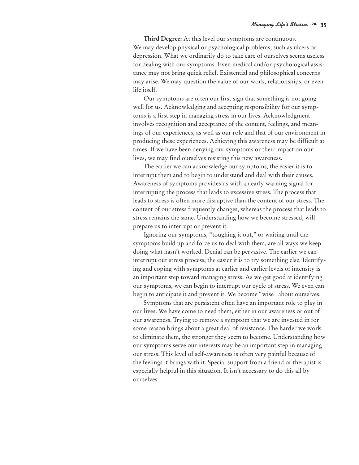**Third Degree:** At this level our symptoms are continuous. We may develop physical or psychological problems, such as ulcers or depression. What we ordinarily do to take care of ourselves seems useless for dealing with our symptoms. Even medical and/or psychological assistance may not bring quick relief. Existential and philosophical concerns may arise. We may question the value of our work, relationships, or even life itself.

Our symptoms are often our first sign that something is not going well for us. Acknowledging and accepting responsibility for our symptoms is a first step in managing stress in our lives. Acknowledgment involves recognition and acceptance of the content, feelings, and meanings of our experiences, as well as our role and that of our environment in producing these experiences. Achieving this awareness may be difficult at times. If we have been denying our symptoms or their impact on our lives, we may find ourselves resisting this new awareness.

The earlier we can acknowledge our symptoms, the easier it is to interrupt them and to begin to understand and deal with their causes. Awareness of symptoms provides us with an early warning signal for interrupting the process that leads to excessive stress. The process that leads to stress is often more disruptive than the content of our stress. The content of our stress frequently changes, whereas the process that leads to stress remains the same. Understanding how we become stressed, will prepare us to interrupt or prevent it.

Ignoring our symptoms, "toughing it out," or waiting until the symptoms build up and force us to deal with them, are all ways we keep doing what hasn't worked. Denial can be pervasive. The earlier we can interrupt our stress process, the easier it is to try something else. Identifying and coping with symptoms at earlier and earlier levels of intensity is an important step toward managing stress. As we get good at identifying our symptoms, we can begin to interrupt our cycle of stress. We even can begin to anticipate it and prevent it. We become "wise" about ourselves.

Symptoms that are persistent often have an important role to play in our lives. We have come to need them, either in our awareness or out of our awareness. Trying to remove a symptom that we are invested in for some reason brings about a great deal of resistance. The harder we work to eliminate them, the stronger they seem to become. Understanding how our symptoms serve our interests may be an important step in managing our stress. This level of self-awareness is often very painful because of the feelings it brings with it. Special support from a friend or therapist is especially helpful in this situation. It isn't necessary to do this all by ourselves.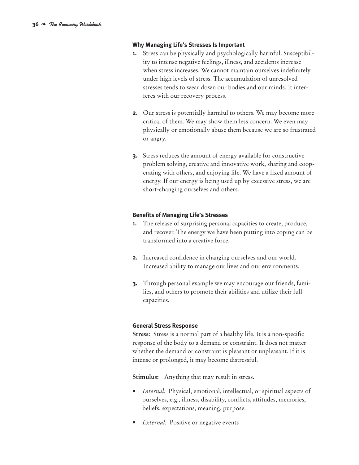#### **Why Managing Life's Stresses Is Important**

- **1.** Stress can be physically and psychologically harmful. Susceptibility to intense negative feelings, illness, and accidents increase when stress increases. We cannot maintain ourselves indefinitely under high levels of stress. The accumulation of unresolved stresses tends to wear down our bodies and our minds. It interferes with our recovery process.
- **2.** Our stress is potentially harmful to others. We may become more critical of them. We may show them less concern. We even may physically or emotionally abuse them because we are so frustrated or angry.
- **3.** Stress reduces the amount of energy available for constructive problem solving, creative and innovative work, sharing and cooperating with others, and enjoying life. We have a fixed amount of energy. If our energy is being used up by excessive stress, we are short-changing ourselves and others.

#### **Benefits of Managing Life's Stresses**

- **1.** The release of surprising personal capacities to create, produce, and recover. The energy we have been putting into coping can be transformed into a creative force.
- **2.** Increased confidence in changing ourselves and our world. Increased ability to manage our lives and our environments.
- **3.** Through personal example we may encourage our friends, families, and others to promote their abilities and utilize their full capacities.

#### **General Stress Response**

**Stress:** Stress is a normal part of a healthy life. It is a non-specific response of the body to a demand or constraint. It does not matter whether the demand or constraint is pleasant or unpleasant. If it is intense or prolonged, it may become distressful.

**Stimulus:** Anything that may result in stress.

- *Internal:* Physical, emotional, intellectual, or spiritual aspects of ourselves, e.g., illness, disability, conflicts, attitudes, memories, beliefs, expectations, meaning, purpose.
- *External:* Positive or negative events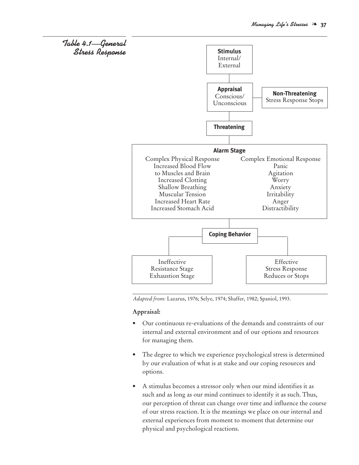

*Adapted from:* Lazarus, 1976; Selye, 1974; Shaffer, 1982; Spaniol, 1993.

#### **Appraisal:**

- Our continuous re-evaluations of the demands and constraints of our internal and external environment and of our options and resources for managing them.
- The degree to which we experience psychological stress is determined by our evaluation of what is at stake and our coping resources and options.
- A stimulus becomes a stressor only when our mind identifies it as such and as long as our mind continues to identify it as such. Thus, our perception of threat can change over time and influence the course of our stress reaction. It is the meanings we place on our internal and external experiences from moment to moment that determine our physical and psychological reactions.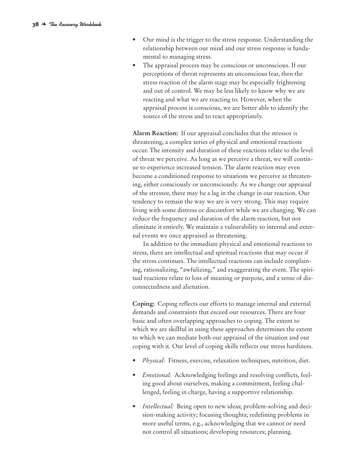- Our mind is the trigger to the stress response. Understanding the relationship between our mind and our stress response is fundamental to managing stress.
- The appraisal process may be conscious or unconscious. If our perceptions of threat represents an unconscious fear, then the stress reaction of the alarm stage may be especially frightening and out of control. We may be less likely to know why we are reacting and what we are reacting to. However, when the appraisal process is conscious, we are better able to identify the source of the stress and to react appropriately.

**Alarm Reaction:** If our appraisal concludes that the stressor is threatening, a complex series of physical and emotional reactions occur. The intensity and duration of these reactions relate to the level of threat we perceive. As long as we perceive a threat, we will continue to experience increased tension. The alarm reaction may even become a conditioned response to situations we perceive as threatening, either consciously or unconsciously. As we change our appraisal of the stressor, there may be a lag in the change in our reaction. Our tendency to remain the way we are is very strong. This may require living with some distress or discomfort while we are changing. We can reduce the frequency and duration of the alarm reaction, but not eliminate it entirely. We maintain a vulnerability to internal and external events we once appraised as threatening.

In addition to the immediate physical and emotional reactions to stress, there are intellectual and spiritual reactions that may occur if the stress continues. The intellectual reactions can include complaining, rationalizing, "awfulizing," and exaggerating the event. The spiritual reactions relate to loss of meaning or purpose, and a sense of disconnectedness and alienation.

**Coping:** Coping reflects our efforts to manage internal and external demands and constraints that exceed our resources. There are four basic and often overlapping approaches to coping. The extent to which we are skillful in using these approaches determines the extent to which we can mediate both our appraisal of the situation and our coping with it. Our level of coping skills reflects our stress hardiness.

- *Physical:* Fitness, exercise, relaxation techniques, nutrition, diet.
- *Emotional:* Acknowledging feelings and resolving conflicts, feeling good about ourselves, making a commitment, feeling challenged, feeling in charge, having a supportive relationship.
- *Intellectual:* Being open to new ideas; problem-solving and decision-making activity; focusing thoughts; redefining problems in more useful terms, e.g., acknowledging that we cannot or need not control all situations; developing resources; planning.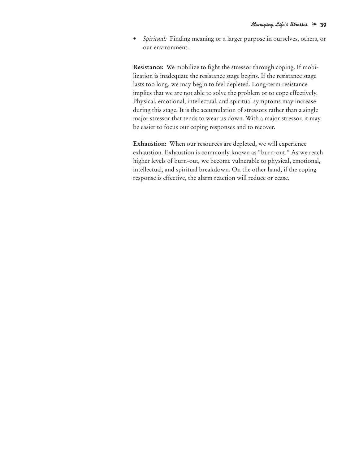*• Spiritual:* Finding meaning or a larger purpose in ourselves, others, or our environment.

**Resistance:** We mobilize to fight the stressor through coping. If mobilization is inadequate the resistance stage begins. If the resistance stage lasts too long, we may begin to feel depleted. Long-term resistance implies that we are not able to solve the problem or to cope effectively. Physical, emotional, intellectual, and spiritual symptoms may increase during this stage. It is the accumulation of stressors rather than a single major stressor that tends to wear us down. With a major stressor, it may be easier to focus our coping responses and to recover.

**Exhaustion:** When our resources are depleted, we will experience exhaustion. Exhaustion is commonly known as "burn-out." As we reach higher levels of burn-out, we become vulnerable to physical, emotional, intellectual, and spiritual breakdown. On the other hand, if the coping response is effective, the alarm reaction will reduce or cease.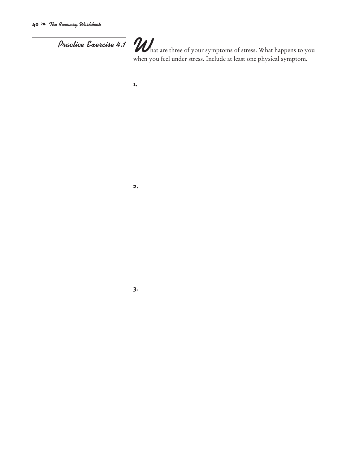*Practice Exercise 4.1 What are three of your symptoms of stress.* What happens to you when you feel under stress. Include at least one physical symptom.

**1.**

#### **2.**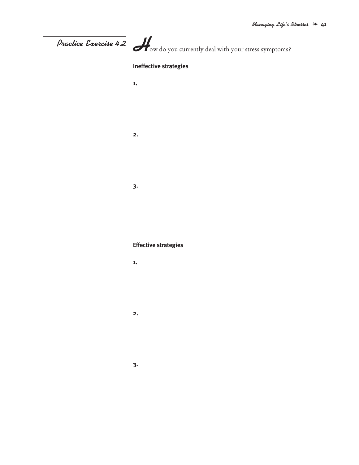# **Practice Exercise 4.2**  $\overline{\mathcal{L}}$  ow do you currently deal with your stress symptoms? **Ineffective strategies 1. 2. 3. Effective strategies 1. 2.**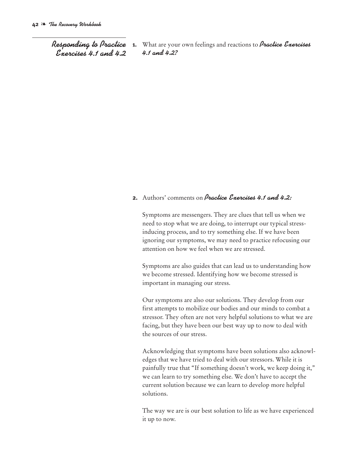*Responding to Practice Exercises 4.1 and 4.2*

**1.** What are your own feelings and reactions to *Practice Exercises 4.1 and 4.2?*

#### **2.** Authors' comments on *Practice Exercises 4.1 and 4.2:*

Symptoms are messengers. They are clues that tell us when we need to stop what we are doing, to interrupt our typical stressinducing process, and to try something else. If we have been ignoring our symptoms, we may need to practice refocusing our attention on how we feel when we are stressed.

Symptoms are also guides that can lead us to understanding how we become stressed. Identifying how we become stressed is important in managing our stress.

Our symptoms are also our solutions. They develop from our first attempts to mobilize our bodies and our minds to combat a stressor. They often are not very helpful solutions to what we are facing, but they have been our best way up to now to deal with the sources of our stress.

Acknowledging that symptoms have been solutions also acknowledges that we have tried to deal with our stressors. While it is painfully true that "If something doesn't work, we keep doing it," we can learn to try something else. We don't have to accept the current solution because we can learn to develop more helpful solutions.

The way we are is our best solution to life as we have experienced it up to now.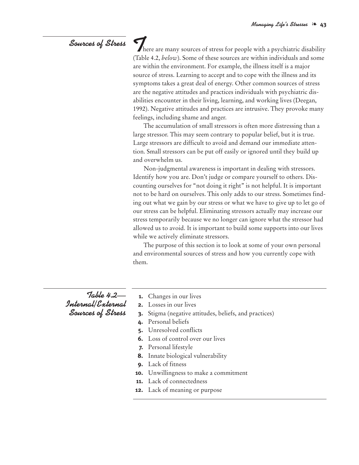### *Sources of Stress*

There are many sources of stress for people with a psychiatric disability (Table 4.2, *below*). Some of these sources are within individuals and some are within the environment. For example, the illness itself is a major source of stress. Learning to accept and to cope with the illness and its symptoms takes a great deal of energy. Other common sources of stress are the negative attitudes and practices individuals with psychiatric disabilities encounter in their living, learning, and working lives (Deegan, 1992). Negative attitudes and practices are intrusive. They provoke many feelings, including shame and anger.

The accumulation of small stressors is often more distressing than a large stressor. This may seem contrary to popular belief, but it is true. Large stressors are difficult to avoid and demand our immediate attention. Small stressors can be put off easily or ignored until they build up and overwhelm us.

Non-judgmental awareness is important in dealing with stressors. Identify how you are. Don't judge or compare yourself to others. Discounting ourselves for "not doing it right" is not helpful. It is important not to be hard on ourselves. This only adds to our stress. Sometimes finding out what we gain by our stress or what we have to give up to let go of our stress can be helpful. Eliminating stressors actually may increase our stress temporarily because we no longer can ignore what the stressor had allowed us to avoid. It is important to build some supports into our lives while we actively eliminate stressors.

The purpose of this section is to look at some of your own personal and environmental sources of stress and how you currently cope with them.

*Table 4.2— Internal/External Sources of Stress*

- **1.** Changes in our lives
- **2.** Losses in our lives
- **3.** Stigma (negative attitudes, beliefs, and practices)
- **4.** Personal beliefs
- **5.** Unresolved conflicts
- **6.** Loss of control over our lives
- **7.** Personal lifestyle
- **8.** Innate biological vulnerability
- **9.** Lack of fitness
- **10.** Unwillingness to make a commitment
- **11.** Lack of connectedness
- **12.** Lack of meaning or purpose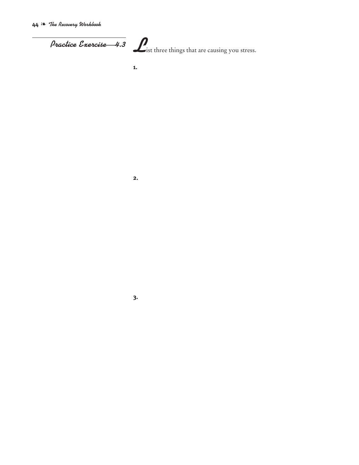**44** ❧ *The Recovery Workbook*

**Practice Exercise—4.3 L**ist three things that are causing you stress.

**1.**

**2.**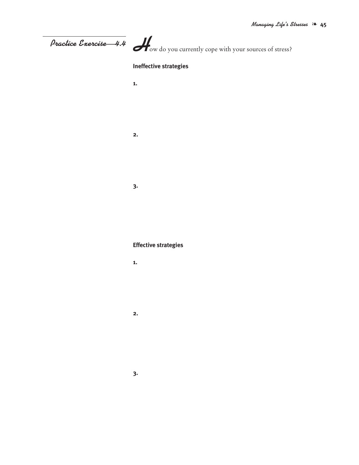| Practice Exercise 4.4 Wow do you currently cope with your sources of stress? |  |
|------------------------------------------------------------------------------|--|
| <b>Ineffective strategies</b>                                                |  |
| 1.                                                                           |  |
|                                                                              |  |
|                                                                              |  |
| 2.                                                                           |  |
|                                                                              |  |
|                                                                              |  |
| 3.                                                                           |  |
|                                                                              |  |
|                                                                              |  |
|                                                                              |  |
| <b>Effective strategies</b>                                                  |  |
| 1.                                                                           |  |
|                                                                              |  |
|                                                                              |  |
| 2.                                                                           |  |
|                                                                              |  |
|                                                                              |  |
| 3.                                                                           |  |
|                                                                              |  |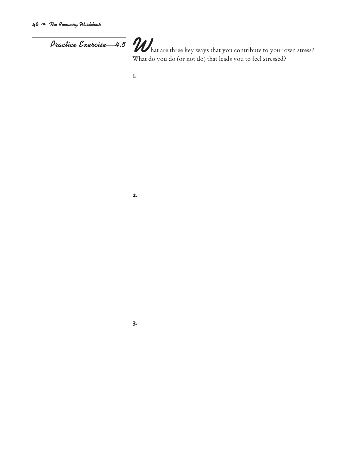*Practice Exercise* 4.5 *W* hat are three key ways that you contribute to your own stress?<br>What do you do (or not do) that leads you to feel stressed?

**1.**

**2.**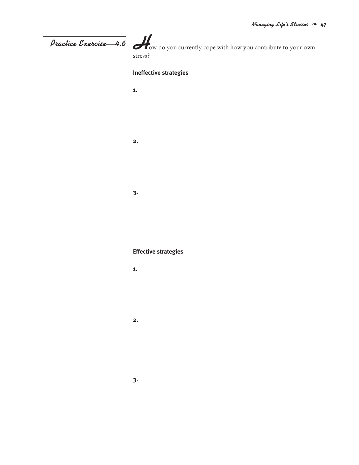## *Practice Exercise—4.6*

**H**ow do you currently cope with how you contribute to your own stress?

#### **Ineffective strategies**

- **1.**
- 
- **2.**
	-
- -
	-

#### **Effective strategies**

- **1.**
	-
- **2.**
- - **3.**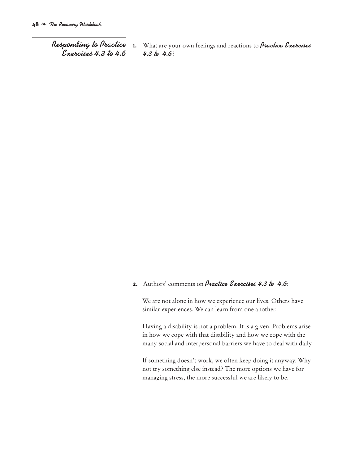*Responding to Practice Exercises 4.3 to 4.6*

**1.** What are your own feelings and reactions to *Practice Exercises 4.3 to 4.6*?

#### **2.** Authors' comments on *Practice Exercises 4.3 to 4.6*:

We are not alone in how we experience our lives. Others have similar experiences. We can learn from one another.

Having a disability is not a problem. It is a given. Problems arise in how we cope with that disability and how we cope with the many social and interpersonal barriers we have to deal with daily.

If something doesn't work, we often keep doing it anyway. Why not try something else instead? The more options we have for managing stress, the more successful we are likely to be.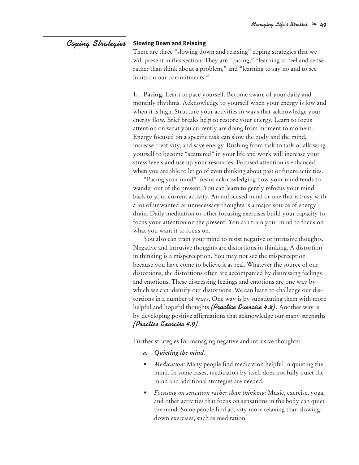#### **Slowing Down and Relaxing** *Coping Strategies*

There are three "slowing down and relaxing" coping strategies that we will present in this section. They are "pacing," "learning to feel and sense rather than think about a problem," and "learning to say no and to set limits on our commitments."

**1. Pacing.** Learn to pace yourself. Become aware of your daily and monthly rhythms. Acknowledge to yourself when your energy is low and when it is high. Structure your activities in ways that acknowledge your energy flow. Brief breaks help to restore your energy. Learn to focus attention on what you currently are doing from moment to moment. Energy focused on a specific task can slow the body and the mind, increase creativity, and save energy. Rushing from task to task or allowing yourself to become "scattered" in your life and work will increase your stress levels and use up your resources. Focused attention is enhanced when you are able to let go of even thinking about past or future activities.

"Pacing your mind" means acknowledging how your mind tends to wander out of the present. You can learn to gently refocus your mind back to your current activity. An unfocused mind or one that is busy with a lot of unwanted or unnecessary thoughts is a major source of energy drain. Daily meditation or other focusing exercises build your capacity to focus your attention on the present. You can train your mind to focus on what you want it to focus on.

You also can train your mind to resist negative or intrusive thoughts. Negative and intrusive thoughts are distortions in thinking. A distortion in thinking is a misperception. You may not see the misperception because you have come to believe it as real. Whatever the source of our distortions, the distortions often are accompanied by distressing feelings and emotions. These distressing feelings and emotions are one way by which we can identify our distortions. We can learn to challenge our distortions in a number of ways. One way is by substituting them with more helpful and hopeful thoughts *(Practice Exercise 4.8)*. Another way is by developing positive affirmations that acknowledge our many strengths *(Practice Exercise 4.9)*.

Further strategies for managing negative and intrusive thoughts:

- *a. Quieting the mind.*
- *• Medication:* Many people find medication helpful in quieting the mind. In some cases, medication by itself does not fully quiet the mind and additional strategies are needed.
- *• Focusing on sensation rather than thinking:* Music, exercise, yoga, and other activities that focus on sensations in the body can quiet the mind. Some people find activity more relaxing than slowingdown exercises, such as meditation.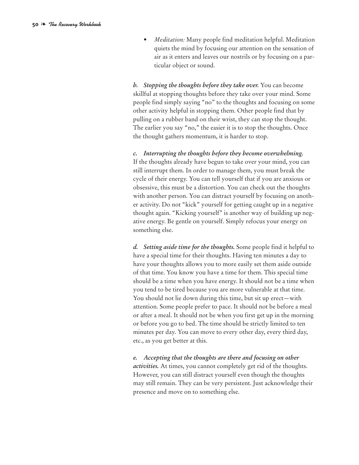*• Meditation:* Many people find meditation helpful. Meditation quiets the mind by focusing our attention on the sensation of air as it enters and leaves our nostrils or by focusing on a particular object or sound.

*b. Stopping the thoughts before they take over.* You can become skillful at stopping thoughts before they take over your mind. Some people find simply saying "no" to the thoughts and focusing on some other activity helpful in stopping them. Other people find that by pulling on a rubber band on their wrist, they can stop the thought. The earlier you say "no," the easier it is to stop the thoughts. Once the thought gathers momentum, it is harder to stop.

*c. Interrupting the thoughts before they become overwhelming.* If the thoughts already have begun to take over your mind, you can still interrupt them. In order to manage them, you must break the cycle of their energy. You can tell yourself that if you are anxious or obsessive, this must be a distortion. You can check out the thoughts with another person. You can distract yourself by focusing on another activity. Do not "kick" yourself for getting caught up in a negative thought again. "Kicking yourself" is another way of building up negative energy. Be gentle on yourself. Simply refocus your energy on something else.

*d. Setting aside time for the thoughts.* Some people find it helpful to have a special time for their thoughts. Having ten minutes a day to have your thoughts allows you to more easily set them aside outside of that time. You know you have a time for them. This special time should be a time when you have energy. It should not be a time when you tend to be tired because you are more vulnerable at that time. You should not lie down during this time, but sit up erect—with attention. Some people prefer to pace. It should not be before a meal or after a meal. It should not be when you first get up in the morning or before you go to bed. The time should be strictly limited to ten minutes per day. You can move to every other day, every third day, etc., as you get better at this.

*e. Accepting that the thoughts are there and focusing on other activities.* At times, you cannot completely get rid of the thoughts. However, you can still distract yourself even though the thoughts may still remain. They can be very persistent. Just acknowledge their presence and move on to something else.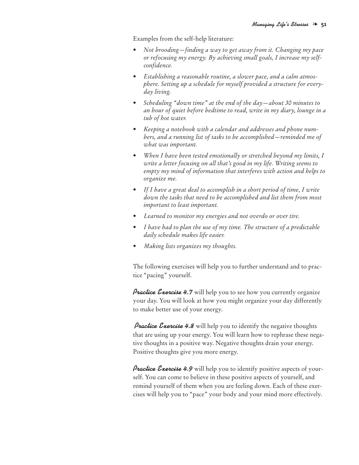Examples from the self-help literature:

- *• Not brooding—finding a way to get away from it. Changing my pace or refocusing my energy. By achieving small goals, I increase my selfconfidence.*
- *• Establishing a reasonable routine, a slower pace, and a calm atmosphere. Setting up a schedule for myself provided a structure for everyday living.*
- *• Scheduling "down time" at the end of the day—about 30 minutes to an hour of quiet before bedtime to read, write in my diary, lounge in a tub of hot water.*
- *• Keeping a notebook with a calendar and addresses and phone numbers, and a running list of tasks to be accomplished—reminded me of what was important.*
- *• When I have been tested emotionally or stretched beyond my limits, I write a letter focusing on all that's good in my life. Writing seems to empty my mind of information that interferes with action and helps to organize me.*
- *• If I have a great deal to accomplish in a short period of time, I write down the tasks that need to be accomplished and list them from most important to least important.*
- *• Learned to monitor my energies and not overdo or over tire.*
- *• I have had to plan the use of my time. The structure of a predictable daily schedule makes life easier.*
- *• Making lists organizes my thoughts.*

The following exercises will help you to further understand and to practice "pacing" yourself.

*Practice Exercise 4.7* will help you to see how you currently organize your day. You will look at how you might organize your day differently to make better use of your energy.

*Practice Exercise 4.8* will help you to identify the negative thoughts that are using up your energy. You will learn how to rephrase these negative thoughts in a positive way. Negative thoughts drain your energy. Positive thoughts give you more energy.

*Practice Exercise 4.9* will help you to identify positive aspects of yourself. You can come to believe in these positive aspects of yourself, and remind yourself of them when you are feeling down. Each of these exercises will help you to "pace" your body and your mind more effectively.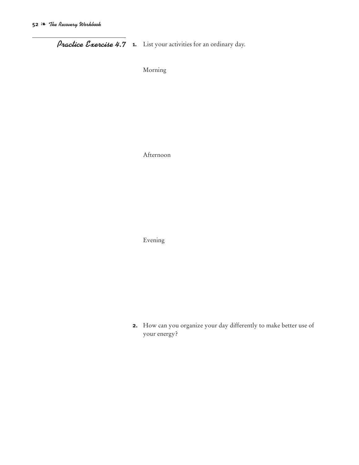*Practice Exercise 4.7* **1.** List your activities for an ordinary day.

Morning

Afternoon

Evening

**2.** How can you organize your day differently to make better use of your energy?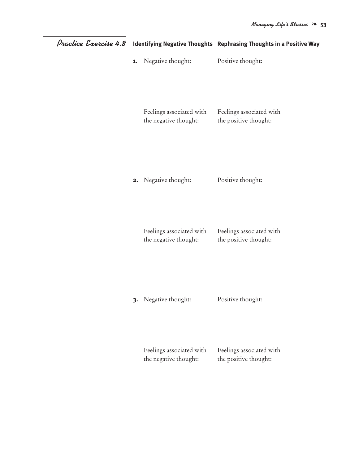| Practice Exercise 4.8 |    |                                                   | Identifying Negative Thoughts Rephrasing Thoughts in a Positive Way |
|-----------------------|----|---------------------------------------------------|---------------------------------------------------------------------|
|                       | 1. | Negative thought:                                 | Positive thought:                                                   |
|                       |    | Feelings associated with<br>the negative thought: | Feelings associated with<br>the positive thought:                   |
|                       |    | 2. Negative thought:                              | Positive thought:                                                   |
|                       |    | Feelings associated with<br>the negative thought: | Feelings associated with<br>the positive thought:                   |
|                       |    | 3. Negative thought:                              | Positive thought:                                                   |
|                       |    | Feelings associated with<br>the negative thought: | Feelings associated with<br>the positive thought:                   |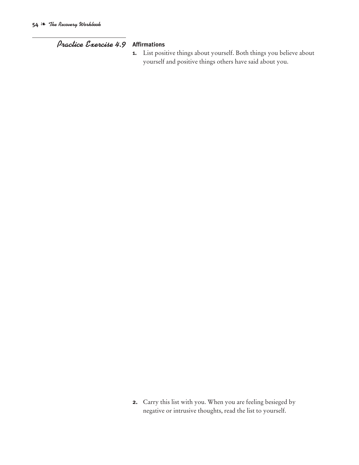#### *Practice Exercise 4.9* **Affirmations**

**1.** List positive things about yourself. Both things you believe about yourself and positive things others have said about you.

**2.** Carry this list with you. When you are feeling besieged by negative or intrusive thoughts, read the list to yourself.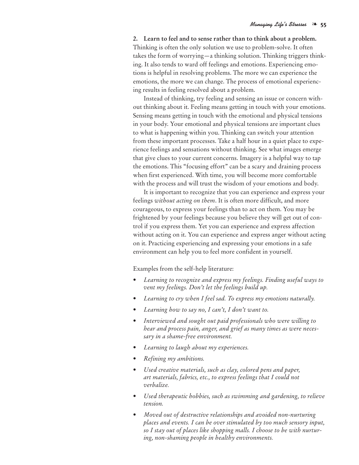**2. Learn to feel and to sense rather than to think about a problem.** Thinking is often the only solution we use to problem-solve. It often takes the form of worrying—a thinking solution. Thinking triggers thinking. It also tends to ward off feelings and emotions. Experiencing emotions is helpful in resolving problems. The more we can experience the emotions, the more we can change. The process of emotional experiencing results in feeling resolved about a problem.

Instead of thinking, try feeling and sensing an issue or concern without thinking about it. Feeling means getting in touch with your emotions. Sensing means getting in touch with the emotional and physical tensions in your body. Your emotional and physical tensions are important clues to what is happening within you. Thinking can switch your attention from these important processes. Take a half hour in a quiet place to experience feelings and sensations without thinking. See what images emerge that give clues to your current concerns. Imagery is a helpful way to tap the emotions. This "focusing effort" can be a scary and draining process when first experienced. With time, you will become more comfortable with the process and will trust the wisdom of your emotions and body.

It is important to recognize that you can experience and express your feelings *without acting on them*. It is often more difficult, and more courageous, to express your feelings than to act on them. You may be frightened by your feelings because you believe they will get out of control if you express them. Yet you can experience and express affection without acting on it. You can experience and express anger without acting on it. Practicing experiencing and expressing your emotions in a safe environment can help you to feel more confident in yourself.

Examples from the self-help literature:

- *• Learning to recognize and express my feelings. Finding useful ways to vent my feelings. Don't let the feelings build up.*
- *• Learning to cry when I feel sad. To express my emotions naturally.*
- *• Learning how to say no, I can't, I don't want to.*
- *• Interviewed and sought out paid professionals who were willing to hear and process pain, anger, and grief as many times as were necessary in a shame-free environment.*
- *• Learning to laugh about my experiences.*
- *• Refining my ambitions.*
- *• Used creative materials, such as clay, colored pens and paper, art materials, fabrics, etc., to express feelings that I could not verbalize.*
- *• Used therapeutic hobbies, such as swimming and gardening, to relieve tension.*
- *• Moved out of destructive relationships and avoided non-nurturing places and events. I can be over stimulated by too much sensory input, so I stay out of places like shopping malls. I choose to be with nurturing, non-shaming people in healthy environments.*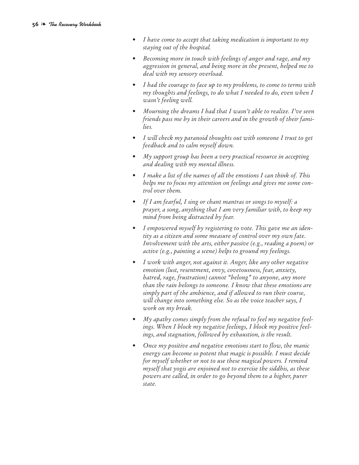- *• I have come to accept that taking medication is important to my staying out of the hospital.*
- *• Becoming more in touch with feelings of anger and rage, and my aggression in general, and being more in the present, helped me to deal with my sensory overload.*
- *• I had the courage to face up to my problems, to come to terms with my thoughts and feelings, to do what I needed to do, even when I wasn't feeling well.*
- *• Mourning the dreams I had that I wasn't able to realize. I've seen friends pass me by in their careers and in the growth of their families.*
- *• I will check my paranoid thoughts out with someone I trust to get feedback and to calm myself down.*
- *• My support group has been a very practical resource in accepting and dealing with my mental illness.*
- *• I make a list of the names of all the emotions I can think of. This helps me to focus my attention on feelings and gives me some control over them.*
- *• If I am fearful, I sing or chant mantras or songs to myself: a prayer, a song, anything that I am very familiar with, to keep my mind from being distracted by fear.*
- *• I empowered myself by registering to vote. This gave me an identity as a citizen and some measure of control over my own fate. Involvement with the arts, either passive (e.g., reading a poem) or active (e.g., painting a scene) helps to ground my feelings.*
- *• I work with anger, not against it. Anger, like any other negative emotion (lust, resentment, envy, covetousness, fear, anxiety, hatred, rage, frustration) cannot "belong" to anyone, any more than the rain belongs to someone. I know that these emotions are simply part of the ambience, and if allowed to run their course, will change into something else. So as the voice teacher says, I work on my break.*
- *• My apathy comes simply from the refusal to feel my negative feelings. When I block my negative feelings, I block my positive feelings, and stagnation, followed by exhaustion, is the result.*
- *• Once my positive and negative emotions start to flow, the manic energy can become so potent that magic is possible. I must decide for myself whether or not to use these magical powers. I remind myself that yogis are enjoined not to exercise the siddhis, as these powers are called, in order to go beyond them to a higher, purer state.*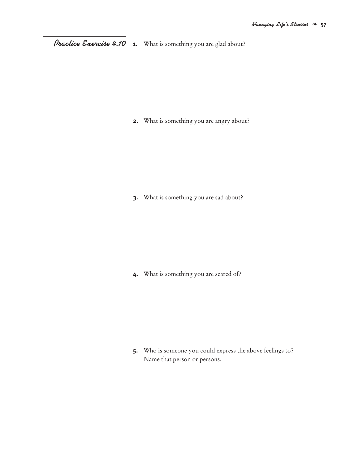**1.** What is something you are glad about? *Practice Exercise 4.10*

**2.** What is something you are angry about?

**3.** What is something you are sad about?

**4.** What is something you are scared of?

**5.** Who is someone you could express the above feelings to? Name that person or persons.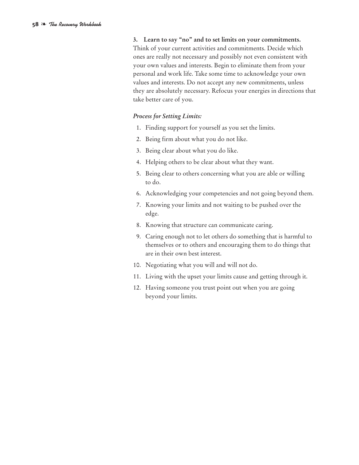**3. Learn to say "no" and to set limits on your commitments.** Think of your current activities and commitments. Decide which ones are really not necessary and possibly not even consistent with your own values and interests. Begin to eliminate them from your personal and work life. Take some time to acknowledge your own values and interests. Do not accept any new commitments, unless they are absolutely necessary. Refocus your energies in directions that take better care of you.

#### *Process for Setting Limits:*

- 1. Finding support for yourself as you set the limits.
- 2. Being firm about what you do not like.
- 3. Being clear about what you do like.
- 4. Helping others to be clear about what they want.
- 5. Being clear to others concerning what you are able or willing to do.
- 6. Acknowledging your competencies and not going beyond them.
- 7. Knowing your limits and not waiting to be pushed over the edge.
- 8. Knowing that structure can communicate caring.
- 9. Caring enough not to let others do something that is harmful to themselves or to others and encouraging them to do things that are in their own best interest.
- 10. Negotiating what you will and will not do.
- 11. Living with the upset your limits cause and getting through it.
- 12. Having someone you trust point out when you are going beyond your limits.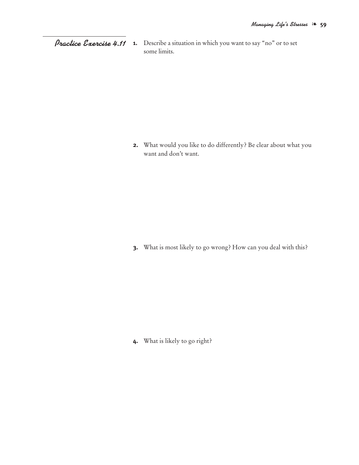*Practice Exercise 4.11* **1.** Describe a situation in which you want to say "no" or to set some limits.

> **2.** What would you like to do differently? Be clear about what you want and don't want.

**3.** What is most likely to go wrong? How can you deal with this?

**4.** What is likely to go right?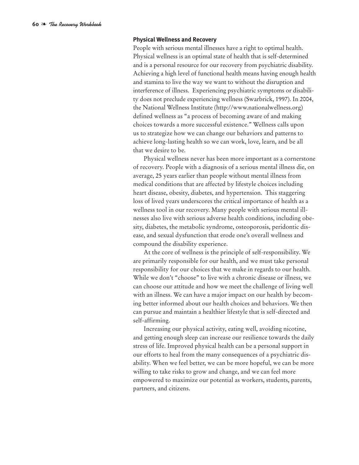#### **Physical Wellness and Recovery**

People with serious mental illnesses have a right to optimal health. Physical wellness is an optimal state of health that is self-determined and is a personal resource for our recovery from psychiatric disability. Achieving a high level of functional health means having enough health and stamina to live the way we want to without the disruption and interference of illness. Experiencing psychiatric symptoms or disability does not preclude experiencing wellness (Swarbrick, 1997). In 2004, the National Wellness Institute (http://www.nationalwellness.org) defined wellness as "a process of becoming aware of and making choices towards a more successful existence." Wellness calls upon us to strategize how we can change our behaviors and patterns to achieve long-lasting health so we can work, love, learn, and be all that we desire to be.

Physical wellness never has been more important as a cornerstone of recovery. People with a diagnosis of a serious mental illness die, on average, 25 years earlier than people without mental illness from medical conditions that are affected by lifestyle choices including heart disease, obesity, diabetes, and hypertension. This staggering loss of lived years underscores the critical importance of health as a wellness tool in our recovery. Many people with serious mental illnesses also live with serious adverse health conditions, including obesity, diabetes, the metabolic syndrome, osteoporosis, peridontic disease, and sexual dysfunction that erode one's overall wellness and compound the disability experience.

At the core of wellness is the principle of self-responsibility. We are primarily responsible for our health, and we must take personal responsibility for our choices that we make in regards to our health. While we don't "choose" to live with a chronic disease or illness, we can choose our attitude and how we meet the challenge of living well with an illness. We can have a major impact on our health by becoming better informed about our health choices and behaviors. We then can pursue and maintain a healthier lifestyle that is self-directed and self-affirming.

Increasing our physical activity, eating well, avoiding nicotine, and getting enough sleep can increase our resilience towards the daily stress of life. Improved physical health can be a personal support in our efforts to heal from the many consequences of a psychiatric disability. When we feel better, we can be more hopeful, we can be more willing to take risks to grow and change, and we can feel more empowered to maximize our potential as workers, students, parents, partners, and citizens.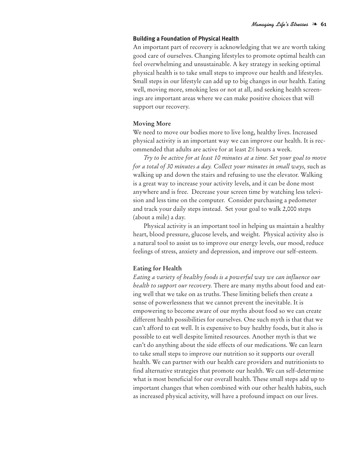#### **Building a Foundation of Physical Health**

An important part of recovery is acknowledging that we are worth taking good care of ourselves. Changing lifestyles to promote optimal health can feel overwhelming and unsustainable. A key strategy in seeking optimal physical health is to take small steps to improve our health and lifestyles. Small steps in our lifestyle can add up to big changes in our health. Eating well, moving more, smoking less or not at all, and seeking health screenings are important areas where we can make positive choices that will support our recovery.

#### **Moving More**

We need to move our bodies more to live long, healthy lives. Increased physical activity is an important way we can improve our health. It is recommended that adults are active for at least 21 ⁄2 hours a week.

*Try to be active for at least 10 minutes at a time. Set your goal to move for a total of 30 minutes a day. Collect your minutes in small ways,* such as walking up and down the stairs and refusing to use the elevator. Walking is a great way to increase your activity levels, and it can be done most anywhere and is free. Decrease your screen time by watching less television and less time on the computer. Consider purchasing a pedometer and track your daily steps instead. Set your goal to walk 2,000 steps (about a mile) a day.

Physical activity is an important tool in helping us maintain a healthy heart, blood pressure, glucose levels, and weight. Physical activity also is a natural tool to assist us to improve our energy levels, our mood, reduce feelings of stress, anxiety and depression, and improve our self-esteem.

#### **Eating for Health**

*Eating a variety of healthy foods is a powerful way we can influence our health to support our recovery.* There are many myths about food and eating well that we take on as truths. These limiting beliefs then create a sense of powerlessness that we cannot prevent the inevitable. It is empowering to become aware of our myths about food so we can create different health possibilities for ourselves. One such myth is that that we can't afford to eat well. It is expensive to buy healthy foods, but it also is possible to eat well despite limited resources. Another myth is that we can't do anything about the side effects of our medications. We can learn to take small steps to improve our nutrition so it supports our overall health. We can partner with our health care providers and nutritionists to find alternative strategies that promote our health. We can self-determine what is most beneficial for our overall health. These small steps add up to important changes that when combined with our other health habits, such as increased physical activity, will have a profound impact on our lives.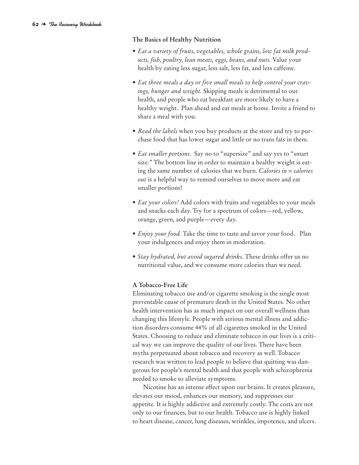#### **The Basics of Healthy Nutrition**

- *• Eat a variety of fruits, vegetables, whole grains, low fat milk products, fish, poultry, lean meats, eggs, beans, and nuts.* Value your health by eating less sugar, less salt, less fat, and less caffeine.
- *• Eat three meals a day or five small meals to help control your cravings, hunger and weight.* Skipping meals is detrimental to our health, and people who eat breakfast are more likely to have a healthy weight. Plan ahead and eat meals at home. Invite a friend to share a meal with you.
- *• Read the labels* when you buy products at the store and try to purchase food that has lower sugar and little or no trans fats in them.
- *• Eat smaller portions.* Say no to "supersize" and say yes to "smart size." The bottom line in order to maintain a healthy weight is eating the same number of calories that we burn. *Calories in = calories out* is a helpful way to remind ourselves to move more and eat smaller portions!
- *• Eat your colors!* Add colors with fruits and vegetables to your meals and snacks each day. Try for a spectrum of colors—red, yellow, orange, green, and purple—every day.
- *• Enjoy your food.* Take the time to taste and savor your food. Plan your indulgences and enjoy them in moderation.
- *• Stay hydrated, but avoid sugared drinks*. These drinks offer us no nutritional value, and we consume more calories than we need.

#### **A Tobacco-Free Life**

Eliminating tobacco use and/or cigarette smoking is the single most preventable cause of premature death in the United States. No other health intervention has as much impact on our overall wellness than changing this lifestyle. People with serious mental illness and addiction disorders consume 44% of all cigarettes smoked in the United States. Choosing to reduce and eliminate tobacco in our lives is a critical way we can improve the quality of our lives. There have been myths perpetuated about tobacco and recovery as well. Tobacco research was written to lead people to believe that quitting was dangerous for people's mental health and that people with schizophrenia needed to smoke to alleviate symptoms.

Nicotine has an intense effect upon our brains. It creates pleasure, elevates our mood, enhances our memory, and suppresses our appetite. It is highly addictive and extremely costly. The costs are not only to our finances, but to our health. Tobacco use is highly linked to heart disease, cancer, lung diseases, wrinkles, impotence, and ulcers.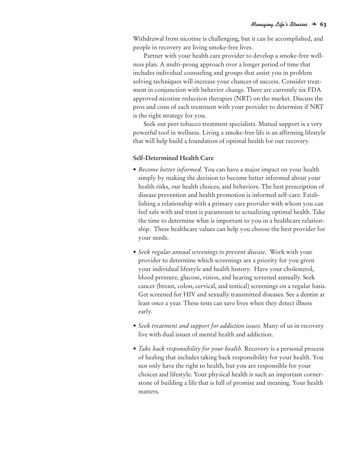Withdrawal from nicotine is challenging, but it can be accomplished, and people in recovery are living smoke-free lives.

Partner with your health care provider to develop a smoke-free wellness plan. A multi-prong approach over a longer period of time that includes individual counseling and groups that assist you in problem solving techniques will increase your chances of success. Consider treatment in conjunction with behavior change. There are currently six FDA approved nicotine reduction therapies (NRT) on the market. Discuss the pros and cons of each treatment with your provider to determine if NRT is the right strategy for you.

Seek out peer tobacco treatment specialists. Mutual support is a very powerful tool in wellness. Living a smoke-free life is an affirming lifestyle that will help build a foundation of optimal health for our recovery.

#### **Self-Determined Health Care**

- *• Become better informed.* You can have a major impact on your health simply by making the decision to become better informed about your health risks, our health choices, and behaviors. The best prescription of disease prevention and health promotion is informed self-care. Establishing a relationship with a primary care provider with whom you can feel safe with and trust is paramount to actualizing optimal health. Take the time to determine what is important to you in a healthcare relationship. These healthcare values can help you choose the best provider for your needs.
- *• Seek regular annual screenings to prevent disease.* Work with your provider to determine which screenings are a priority for you given your individual lifestyle and health history. Have your cholesterol, blood pressure, glucose, vision, and hearing screened annually. Seek cancer (breast, colon, cervical, and testical) screenings on a regular basis. Get screened for HIV and sexually transmitted diseases. See a dentist at least once a year. These tests can save lives when they detect illness early.
- *• Seek treatment and support for addiction issues.* Many of us in recovery live with dual issues of mental health and addiction.
- *• Take back responsibility for your health.* Recovery is a personal process of healing that includes taking back responsibility for your health. You not only have the right to health, but you are responsible for your choices and lifestyle. Your physical health is such an important cornerstone of building a life that is full of promise and meaning. Your health matters.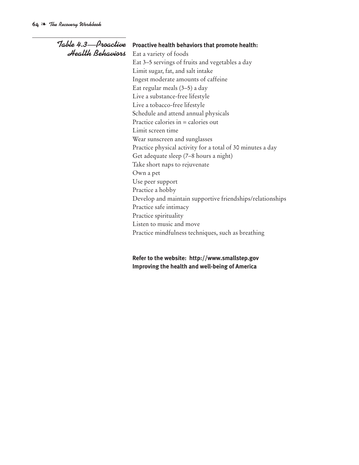| Table 4.3—Proactive | Proactive health behaviors that promote health:            |  |  |
|---------------------|------------------------------------------------------------|--|--|
| Health Behaviors    | Eat a variety of foods                                     |  |  |
|                     | Eat 3–5 servings of fruits and vegetables a day            |  |  |
|                     | Limit sugar, fat, and salt intake                          |  |  |
|                     | Ingest moderate amounts of caffeine                        |  |  |
|                     | Eat regular meals (3-5) a day                              |  |  |
|                     | Live a substance-free lifestyle                            |  |  |
|                     | Live a tobacco-free lifestyle                              |  |  |
|                     | Schedule and attend annual physicals                       |  |  |
|                     | Practice calories in = calories out                        |  |  |
|                     | Limit screen time                                          |  |  |
|                     | Wear sunscreen and sunglasses                              |  |  |
|                     | Practice physical activity for a total of 30 minutes a day |  |  |
|                     | Get adequate sleep (7-8 hours a night)                     |  |  |
|                     | Take short naps to rejuvenate                              |  |  |
|                     | Own a pet                                                  |  |  |
|                     | Use peer support                                           |  |  |
|                     | Practice a hobby                                           |  |  |
|                     | Develop and maintain supportive friendships/relationships  |  |  |
|                     | Practice safe intimacy                                     |  |  |
|                     | Practice spirituality                                      |  |  |
|                     | Listen to music and move                                   |  |  |
|                     | Practice mindfulness techniques, such as breathing         |  |  |
|                     |                                                            |  |  |

**Refer to the website: http://www.smallstep.gov Improving the health and well-being of America**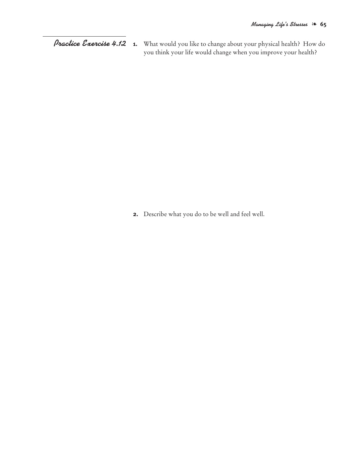**1.** What would you like to change about your physical health? How do you think your life would change when you improve your health? *Practice Exercise 4.12*

**2.** Describe what you do to be well and feel well.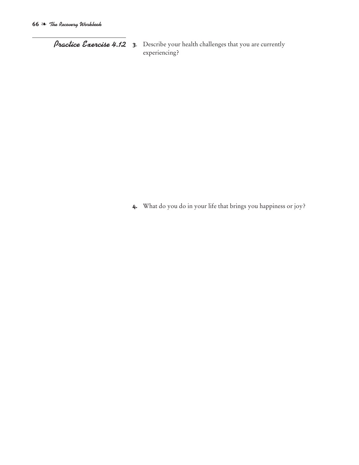*Practice Exercise 4.12* **<sup>3</sup>**. Describe your health challenges that you are currently experiencing?

**4.** What do you do in your life that brings you happiness or joy?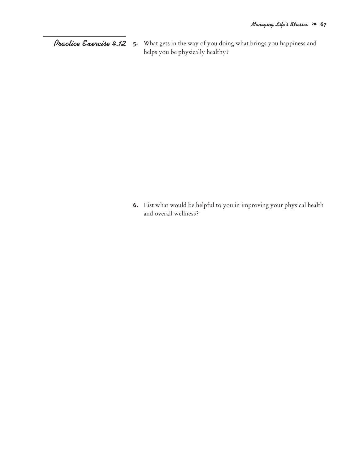**5.** What gets in the way of you doing what brings you happiness and helps you be physically healthy? *Practice Exercise 4.12*

> **6.** List what would be helpful to you in improving your physical health and overall wellness?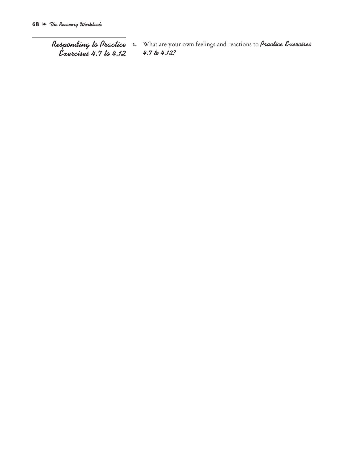*Responding to Practice Exercises 4.7 to 4.12*

**1.** What are your own feelings and reactions to *Practice Exercises 4.7 to 4.12?*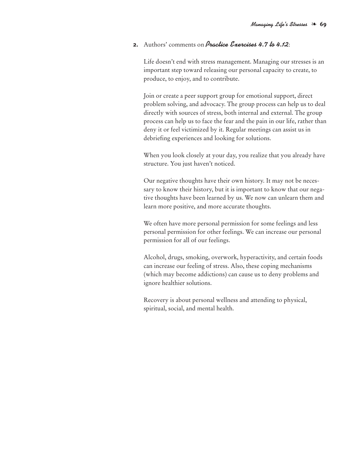## **2.** Authors' comments on *Practice Exercises 4.7 to 4.12*:

Life doesn't end with stress management. Managing our stresses is an important step toward releasing our personal capacity to create, to produce, to enjoy, and to contribute.

Join or create a peer support group for emotional support, direct problem solving, and advocacy. The group process can help us to deal directly with sources of stress, both internal and external. The group process can help us to face the fear and the pain in our life, rather than deny it or feel victimized by it. Regular meetings can assist us in debriefing experiences and looking for solutions.

When you look closely at your day, you realize that you already have structure. You just haven't noticed.

Our negative thoughts have their own history. It may not be necessary to know their history, but it is important to know that our negative thoughts have been learned by us. We now can unlearn them and learn more positive, and more accurate thoughts.

We often have more personal permission for some feelings and less personal permission for other feelings. We can increase our personal permission for all of our feelings.

Alcohol, drugs, smoking, overwork, hyperactivity, and certain foods can increase our feeling of stress. Also, these coping mechanisms (which may become addictions) can cause us to deny problems and ignore healthier solutions.

Recovery is about personal wellness and attending to physical, spiritual, social, and mental health.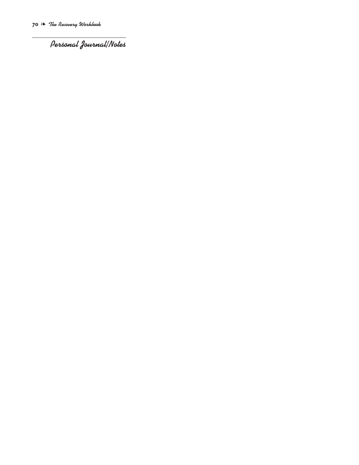*Personal Journal/Notes*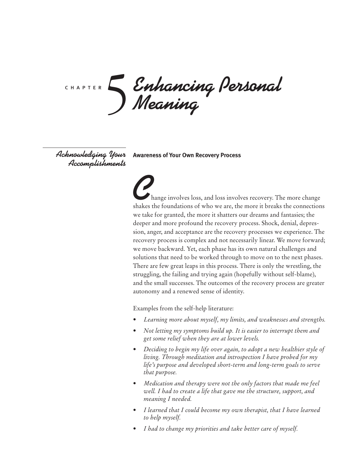*Enhancing Personal Meaning* c h a p t e r 5

*Accomplishments*

 $A$ c*knowledging 'Your* Awareness of Your Own Recovery Process

**C**hange involves loss, and loss involves recovery. The more change shakes the foundations of who we are, the more it breaks the connections we take for granted, the more it shatters our dreams and fantasies; the deeper and more profound the recovery process. Shock, denial, depression, anger, and acceptance are the recovery processes we experience. The recovery process is complex and not necessarily linear. We move forward; we move backward. Yet, each phase has its own natural challenges and solutions that need to be worked through to move on to the next phases. There are few great leaps in this process. There is only the wrestling, the struggling, the failing and trying again (hopefully without self-blame), and the small successes. The outcomes of the recovery process are greater autonomy and a renewed sense of identity.

Examples from the self-help literature:

- *• Learning more about myself, my limits, and weaknesses and strengths.*
- *• Not letting my symptoms build up. It is easier to interrupt them and get some relief when they are at lower levels.*
- *• Deciding to begin my life over again, to adopt a new healthier style of living. Through meditation and introspection I have probed for my life's purpose and developed short-term and long-term goals to serve that purpose.*
- *• Medication and therapy were not the only factors that made me feel well. I had to create a life that gave me the structure, support, and meaning I needed.*
- *• I learned that I could become my own therapist, that I have learned to help myself.*
- *• I had to change my priorities and take better care of myself.*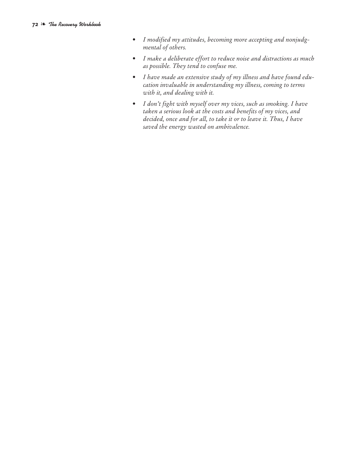- *• I modified my attitudes, becoming more accepting and nonjudgmental of others.*
- *• I make a deliberate effort to reduce noise and distractions as much as possible. They tend to confuse me.*
- *• I have made an extensive study of my illness and have found education invaluable in understanding my illness, coming to terms with it, and dealing with it.*
- *• I don't fight with myself over my vices, such as smoking. I have taken a serious look at the costs and benefits of my vices, and decided, once and for all, to take it or to leave it. Thus, I have saved the energy wasted on ambivalence.*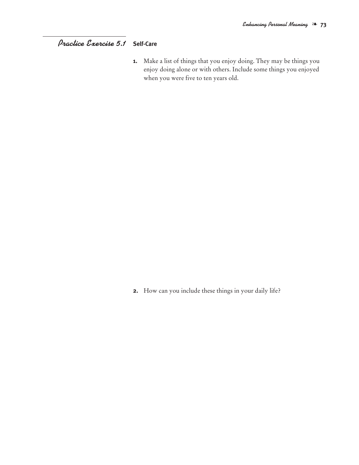# **Self-Care** *Practice Exercise 5.1*

**1.** Make a list of things that you enjoy doing. They may be things you enjoy doing alone or with others. Include some things you enjoyed when you were five to ten years old.

**2.** How can you include these things in your daily life?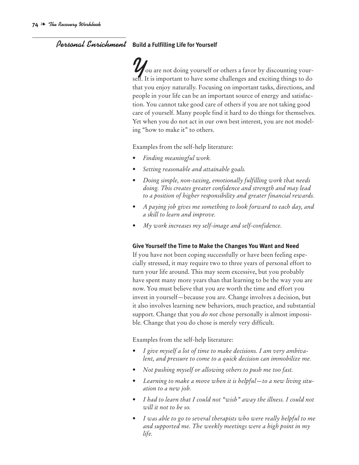# *Personal Enrichment* **Build <sup>a</sup> Fulfilling Life for Yourself**

*Y* ou are not doing yourself or others a favor by discounting yourself. It is important to have some challenges and exciting things to do that you enjoy naturally. Focusing on important tasks, directions, and people in your life can be an important source of energy and satisfaction. You cannot take good care of others if you are not taking good care of yourself. Many people find it hard to do things for themselves. Yet when you do not act in our own best interest, you are not modeling "how to make it" to others.

Examples from the self-help literature:

- *• Finding meaningful work.*
- *• Setting reasonable and attainable goals.*
- *• Doing simple, non-taxing, emotionally fulfilling work that needs doing. This creates greater confidence and strength and may lead to a position of higher responsibility and greater financial rewards.*
- *• A paying job gives me something to look forward to each day, and a skill to learn and improve.*
- *• My work increases my self-image and self-confidence.*

### **Give Yourself the Time to Make the Changes You Want and Need**

If you have not been coping successfully or have been feeling especially stressed, it may require two to three years of personal effort to turn your life around. This may seem excessive, but you probably have spent many more years than that learning to be the way you are now. You must believe that you are worth the time and effort you invest in yourself—because you are. Change involves a decision, but it also involves learning new behaviors, much practice, and substantial support. Change that you *do not* chose personally is almost impossible. Change that you do chose is merely very difficult.

Examples from the self-help literature:

- *• I give myself a lot of time to make decisions. I am very ambivalent, and pressure to come to a quick decision can immobilize me.*
- *• Not pushing myself or allowing others to push me too fast.*
- *• Learning to make a move when it is helpful—to a new living situation to a new job.*
- *• I had to learn that I could not "wish" away the illness. I could not will it not to be so.*
- *• I was able to go to several therapists who were really helpful to me and supported me. The weekly meetings were a high point in my life.*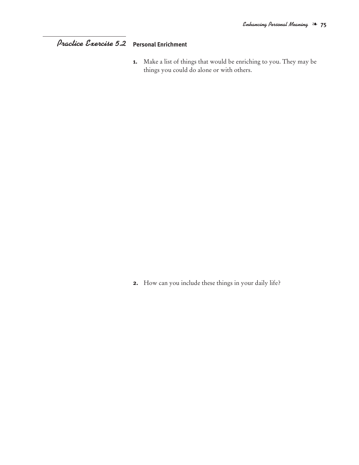# **Personal Enrichment** *Practice Exercise 5.2*

**1.** Make a list of things that would be enriching to you. They may be things you could do alone or with others.

**2.** How can you include these things in your daily life?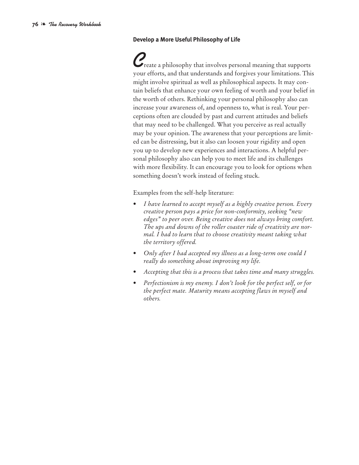### **Develop a More Useful Philosophy of Life**

*C*reate <sup>a</sup> philosophy that involves personal meaning that supports your efforts, and that understands and forgives your limitations. This might involve spiritual as well as philosophical aspects. It may contain beliefs that enhance your own feeling of worth and your belief in the worth of others. Rethinking your personal philosophy also can increase your awareness of, and openness to, what is real. Your perceptions often are clouded by past and current attitudes and beliefs that may need to be challenged. What you perceive as real actually may be your opinion. The awareness that your perceptions are limited can be distressing, but it also can loosen your rigidity and open you up to develop new experiences and interactions. A helpful personal philosophy also can help you to meet life and its challenges with more flexibility. It can encourage you to look for options when something doesn't work instead of feeling stuck.

Examples from the self-help literature:

- *• I have learned to accept myself as a highly creative person. Every creative person pays a price for non-conformity, seeking "new edges" to peer over. Being creative does not always bring comfort. The ups and downs of the roller coaster ride of creativity are normal. I had to learn that to choose creativity meant taking what the territory offered.*
- *• Only after I had accepted my illness as a long-term one could I really do something about improving my life.*
- *• Accepting that this is a process that takes time and many struggles.*
- *• Perfectionism is my enemy. I don't look for the perfect self, or for the perfect mate. Maturity means accepting flaws in myself and others.*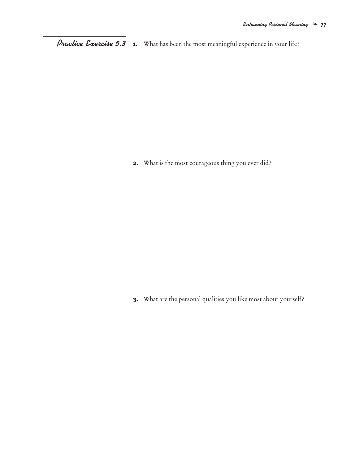**1.** What has been the most meaningful experience in your life? *Practice Exercise 5.3*

**2.** What is the most courageous thing you ever did?

**3.** What are the personal qualities you like most about yourself?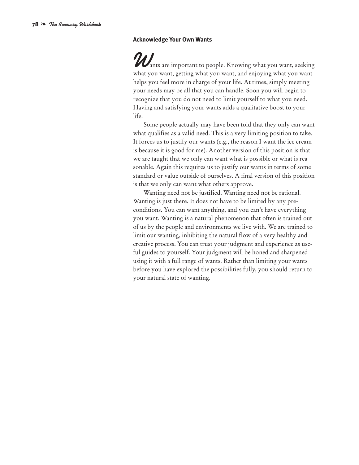#### **Acknowledge Your Own Wants**

**Wants are important to people. Knowing what you want, seeking**<br>what you want, getting what you want, and enjoying what you want helps you feel more in charge of your life. At times, simply meeting your needs may be all that you can handle. Soon you will begin to recognize that you do not need to limit yourself to what you need. Having and satisfying your wants adds a qualitative boost to your life.

Some people actually may have been told that they only can want what qualifies as a valid need. This is a very limiting position to take. It forces us to justify our wants (e.g., the reason I want the ice cream is because it is good for me). Another version of this position is that we are taught that we only can want what is possible or what is reasonable. Again this requires us to justify our wants in terms of some standard or value outside of ourselves. A final version of this position is that we only can want what others approve.

Wanting need not be justified. Wanting need not be rational. Wanting is just there. It does not have to be limited by any preconditions. You can want anything, and you can't have everything you want. Wanting is a natural phenomenon that often is trained out of us by the people and environments we live with. We are trained to limit our wanting, inhibiting the natural flow of a very healthy and creative process. You can trust your judgment and experience as useful guides to yourself. Your judgment will be honed and sharpened using it with a full range of wants. Rather than limiting your wants before you have explored the possibilities fully, you should return to your natural state of wanting.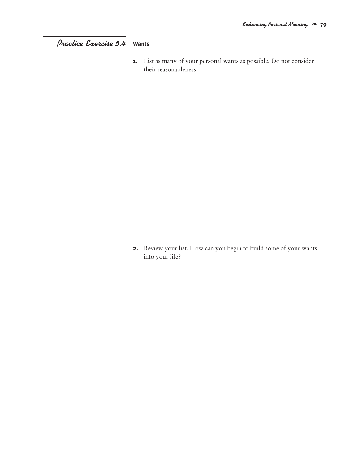# **Wants** *Practice Exercise 5.4*

**1.** List as many of your personal wants as possible. Do not consider their reasonableness.

**2.** Review your list. How can you begin to build some of your wants into your life?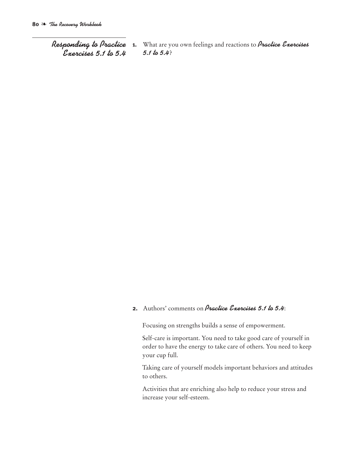*Responding to Practice Exercises 5.1 to 5.4*

**1.** What are you own feelings and reactions to *Practice Exercises 5.1 to 5.4*?

# **2.** Authors' comments on *Practice Exercises 5.1 to 5.4*:

Focusing on strengths builds a sense of empowerment.

Self-care is important. You need to take good care of yourself in order to have the energy to take care of others. You need to keep your cup full.

Taking care of yourself models important behaviors and attitudes to others.

Activities that are enriching also help to reduce your stress and increase your self-esteem.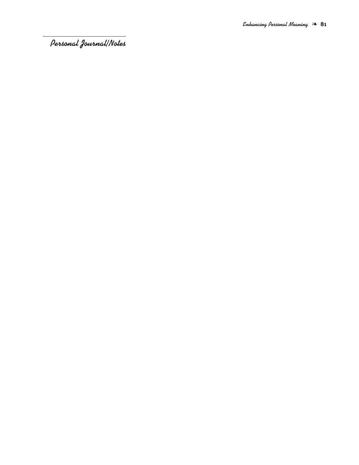*Personal Journal/Notes*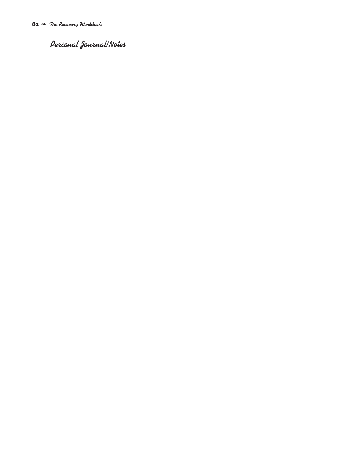*Personal Journal/Notes*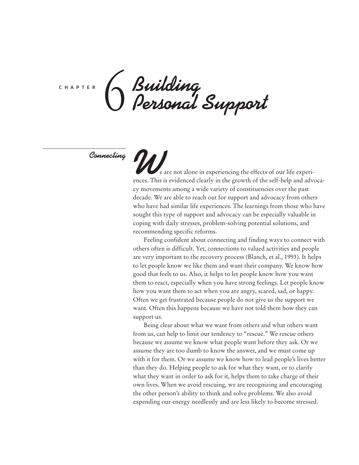c h a p t e r

*Building Personal Support* 6

*Connecting*

**W**e are not alone in experiencing the effects of our life experi-<br>ences. This is evidenced clearly in the growth of the self-help and advocacy movements among a wide variety of constituencies over the past decade. We are able to reach out for support and advocacy from others who have had similar life experiences. The learnings from those who have sought this type of support and advocacy can be especially valuable in coping with daily stresses, problem-solving potential solutions, and recommending specific reforms.

Feeling confident about connecting and finding ways to connect with others often is difficult. Yet, connections to valued activities and people are very important to the recovery process (Blanch, et al., 1993). It helps to let people know we like them and want their company. We know how good that feels to us. Also, it helps to let people know how you want them to react, especially when you have strong feelings. Let people know how you want them to act when you are angry, scared, sad, or happy. Often we get frustrated because people do not give us the support we want. Often this happens because we have not told them how they can support us.

Being clear about what we want from others and what others want from us, can help to limit our tendency to "rescue." We rescue others because we assume we know what people want before they ask. Or we assume they are too dumb to know the answer, and we must come up with it for them. Or we assume we know how to lead people's lives better than they do. Helping people to ask for what they want, or to clarify what they want in order to ask for it, helps them to take charge of their own lives. When we avoid rescuing, we are recognizing and encouraging the other person's ability to think and solve problems. We also avoid expending our energy needlessly and are less likely to become stressed.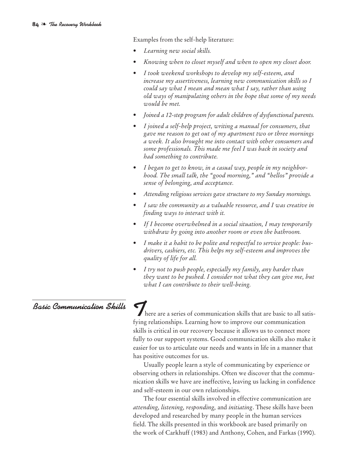Examples from the self-help literature:

- *• Learning new social skills.*
- *• Knowing when to closet myself and when to open my closet door.*
- *• I took weekend workshops to develop my self-esteem, and increase my assertiveness, learning new communication skills so I could say what I mean and mean what I say, rather than using old ways of manipulating others in the hope that some of my needs would be met.*
- *• Joined a 12-step program for adult children of dysfunctional parents.*
- *• I joined a self-help project, writing a manual for consumers, that gave me reason to get out of my apartment two or three mornings a week. It also brought me into contact with other consumers and some professionals. This made me feel I was back in society and had something to contribute.*
- *• I began to get to know, in a casual way, people in my neighborhood. The small talk, the "good morning," and "hellos" provide a sense of belonging, and acceptance.*
- *• Attending religious services gave structure to my Sunday mornings.*
- *• I saw the community as a valuable resource, and I was creative in finding ways to interact with it.*
- *• If I become overwhelmed in a social situation, I may temporarily withdraw by going into another room or even the bathroom.*
- *• I make it a habit to be polite and respectful to service people: busdrivers, cashiers, etc. This helps my self-esteem and improves the quality of life for all.*
- *• I try not to push people, especially my family, any harder than they want to be pushed. I consider not what they can give me, but what I can contribute to their well-being.*

# *Basic Communication Skills*

There are a series of communication skills that are basic to all satis-<br>fying relationships. Learning how to improve our communication skills is critical in our recovery because it allows us to connect more fully to our support systems. Good communication skills also make it easier for us to articulate our needs and wants in life in a manner that has positive outcomes for us.

Usually people learn a style of communicating by experience or observing others in relationships. Often we discover that the communication skills we have are ineffective, leaving us lacking in confidence and self-esteem in our own relationships.

The four essential skills involved in effective communication are *attending, listening, responding,* and *initiating*. These skills have been developed and researched by many people in the human services field. The skills presented in this workbook are based primarily on the work of Carkhuff (1983) and Anthony, Cohen, and Farkas (1990).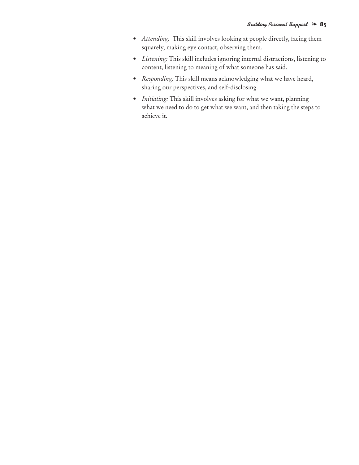- *• Attending:* This skill involves looking at people directly, facing them squarely, making eye contact, observing them.
- *• Listening:* This skill includes ignoring internal distractions, listening to content, listening to meaning of what someone has said.
- *• Responding:* This skill means acknowledging what we have heard, sharing our perspectives, and self-disclosing.
- *• Initiating:* This skill involves asking for what we want, planning what we need to do to get what we want, and then taking the steps to achieve it.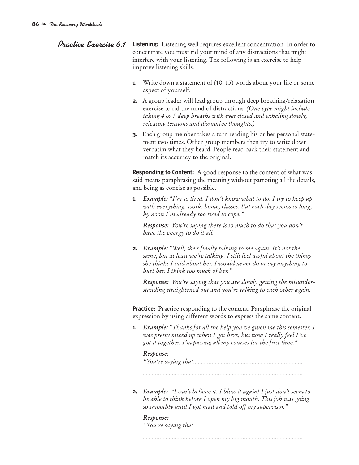- *Practice Exercise 6.1* **Listening:** Listening well requires excellent concentration. In order to concentrate you must rid your mind of any distractions that might interfere with your listening. The following is an exercise to help improve listening skills.
	- **1.** Write down a statement of (10–15) words about your life or some aspect of yourself.
	- **2.** A group leader will lead group through deep breathing/relaxation exercise to rid the mind of distractions. *(One type might include taking 4 or 5 deep breaths with eyes closed and exhaling slowly, releasing tensions and disruptive thoughts.)*
	- **3.** Each group member takes a turn reading his or her personal statement two times. Other group members then try to write down verbatim what they heard. People read back their statement and match its accuracy to the original.

**Responding to Content:** A good response to the content of what was said means paraphrasing the meaning without parroting all the details, and being as concise as possible.

**1.** *Example: "I'm so tired. I don't know what to do. I try to keep up with everything: work, home, classes. But each day seems so long, by noon I'm already too tired to cope."*

*Response: You're saying there is so much to do that you don't have the energy to do it all.*

**2.** *Example: "Well, she's finally talking to me again. It's not the same, but at least we're talking. I still feel awful about the things she thinks I said about her. I would never do or say anything to hurt her. I think too much of her."*

*Response: You're saying that you are slowly getting the misunderstanding straightened out and you're talking to each other again.*

**Practice:** Practice responding to the content. Paraphrase the original expression by using different words to express the same content.

**1.** *Example: "Thanks for all the help you've given me this semester. I was pretty mixed up when I got here, but now I really feel I've got it together. I'm passing all my courses for the first time."*

### *Response:*

*"You're saying that.......................................................................*

*........................................................................................................*

**2.** *Example: "I can't believe it, I blew it again! I just don't seem to be able to think before I open my big mouth. This job was going so smoothly until I got mad and told off my supervisor."*

# *Response: "You're saying that.......................................................................*

*........................................................................................................*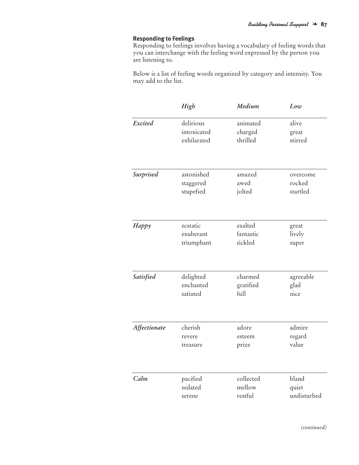## **Responding to Feelings**

Responding to feelings involves having a vocabulary of feeling words that you can interchange with the feeling word expressed by the person you are listening to.

Below is a list of feeling words organized by category and intensity. You may add to the list.

|              | High        | Medium    | Low         |
|--------------|-------------|-----------|-------------|
| Excited      | delirious   | animated  | alive       |
|              | intoxicated | charged   | great       |
|              | exhilarated | thrilled  | stirred     |
| Surprised    | astonished  | amazed    | overcome    |
|              | staggered   | awed      | rocked      |
|              | stupefied   | jolted    | startled    |
| Нарру        | ecstatic    | exalted   | great       |
|              | exuberant   | fantastic | lively      |
|              | triumphant  | tickled   | super       |
| Satisfied    | delighted   | charmed   | agreeable   |
|              | enchanted   | gratified | glad        |
|              | satiated    | full      | nice        |
| Affectionate | cherish     | adore     | admire      |
|              | revere      | esteem    | regard      |
|              | treasure    | prize     | value       |
| Calm         | pacified    | collected | bland       |
|              | sedated     | mellow    | quiet       |
|              | serene      | restful   | undisturbed |

*(continued)*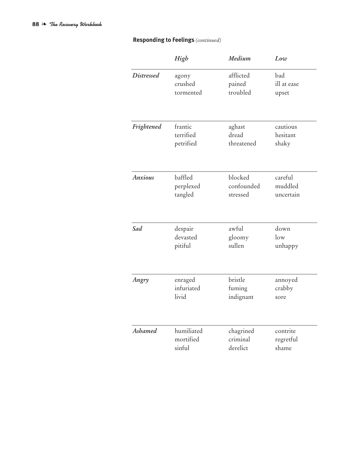## **Responding to Feelings** *(continued)*

|                   | High       | Medium     | Low         |
|-------------------|------------|------------|-------------|
| <b>Distressed</b> | agony      | afflicted  | bad         |
|                   | crushed    | pained     | ill at ease |
|                   | tormented  | troubled   | upset       |
| Frightened        | frantic    | aghast     | cautious    |
|                   | terrified  | dread      | hesitant    |
|                   | petrified  | threatened | shaky       |
| <b>Anxious</b>    | baffled    | blocked    | careful     |
|                   | perplexed  | confounded | muddled     |
|                   | tangled    | stressed   | uncertain   |
| Sad               | despair    | awful      | down        |
|                   | devasted   | gloomy     | $\log$      |
|                   | pitiful    | sullen     | unhappy     |
| Angry             | enraged    | bristle    | annoyed     |
|                   | infuriated | fuming     | crabby      |
|                   | livid      | indignant  | sore        |
| Ashamed           | humiliated | chagrined  | contrite    |
|                   | mortified  | criminal   | regretful   |
|                   | sinful     | derelict   | shame       |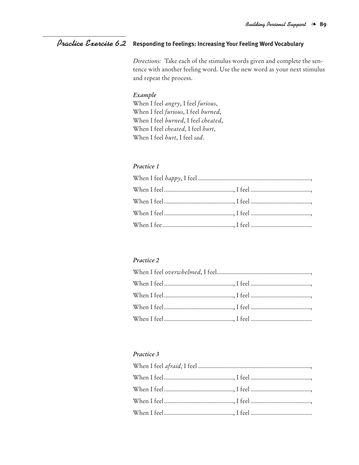#### **Responding to Feelings: Increasing Your Feeling Word Vocabulary** *Practice Exercise 6.2*

*Directions:* Take each of the stimulus words given and complete the sentence with another feeling word. Use the new word as your next stimulus and repeat the process.

## *Example*

When I feel *angry*, I feel *furious*, When I feel *furious*, I feel *burned*, When I feel *burned*, I feel *cheated*, When I feel *cheated*, I feel *hurt*, When I feel *hurt*, I feel *sad*.

## *Practice 1*

## *Practice 2*

## *Practice 3*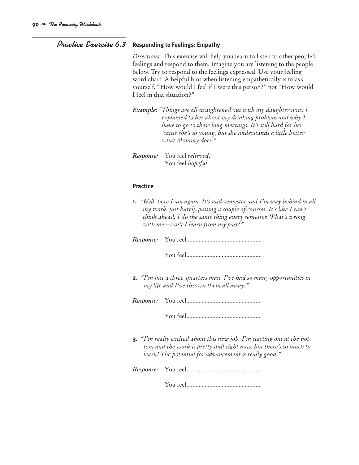## *Practice Exercise 6.3* **Responding to Feelings: Empathy**

*Directions:* This exercise will help you learn to listen to other people's feelings and respond to them. Imagine you are listening to the people below. Try to respond to the feelings expressed. Use your feeling word chart. A helpful hint when listening empathetically is to ask yourself, "How would I feel if I were this person?" not "How would I feel in that situation?"

*Example: "Things are all straightened out with my daughter now. I explained to her about my drinking problem and why I have to go to these long meetings. It's still hard for her 'cause she's so young, but she understands a little better what Mommy does."*

*Response:* You feel *relieved*. You feel *hopeful*.

### **Practice**

**1.** *"Well, here I am again. It's mid-semester and I'm way behind in all my work, just barely passing a couple of courses. It's like I can't think ahead. I do the same thing every semester. What's wrong with me—can't I learn from my past?"*

*Response:* You feel.................................................

You feel.................................................

**2.** *"I'm just a three-quarters man. I've had so many opportunities in my life and I've thrown them all away."*

*Response:* You feel.................................................

You feel.................................................

**3.** *"I'm really excited about this new job. I'm starting out at the bottom and the work is pretty dull right now, but there's so much to learn! The potential for advancement is really good."*

*Response:* You feel.................................................

You feel.................................................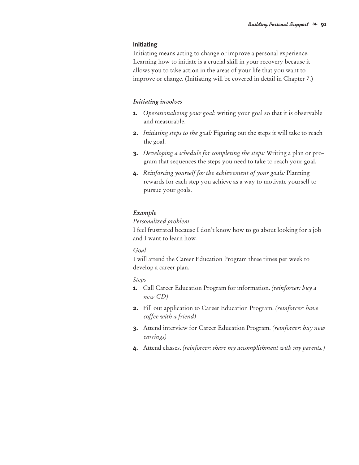#### **Initiating**

Initiating means acting to change or improve a personal experience. Learning how to initiate is a crucial skill in your recovery because it allows you to take action in the areas of your life that you want to improve or change. (Initiating will be covered in detail in Chapter 7.)

#### *Initiating involves*

- **1.** *Operationalizing your goal:* writing your goal so that it is observable and measurable.
- **2.** *Initiating steps to the goal:* Figuring out the steps it will take to reach the goal.
- **3.** *Developing a schedule for completing the steps:* Writing a plan or program that sequences the steps you need to take to reach your goal.
- **4.** *Reinforcing yourself for the achievement of your goals:* Planning rewards for each step you achieve as a way to motivate yourself to pursue your goals.

### *Example*

#### *Personalized problem*

I feel frustrated because I don't know how to go about looking for a job and I want to learn how.

### *Goal*

I will attend the Career Education Program three times per week to develop a career plan.

#### *Steps*

- **1.** Call Career Education Program for information. *(reinforcer: buy a new CD)*
- **2.** Fill out application to Career Education Program. *(reinforcer: have coffee with a friend)*
- **3.** Attend interview for Career Education Program. *(reinforcer: buy new earrings)*
- **4.** Attend classes. *(reinforcer: share my accomplishment with my parents.)*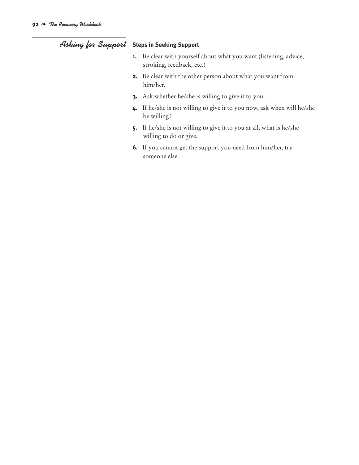# *Asking for Support* **Steps in Seeking Support**

- **1.** Be clear with yourself about what you want (listening, advice, stroking, feedback, etc.)
- **2.** Be clear with the other person about what you want from him/her.
- **3.** Ask whether he/she is willing to give it to you.
- **4.** If he/she is not willing to give it to you now, ask when will he/she be willing?
- **5.** If he/she is not willing to give it to you at all, what is he/she willing to do or give.
- **6.** If you cannot get the support you need from him/her, try someone else.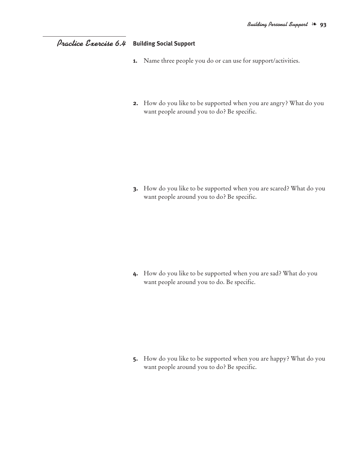# **Building Social Support** *Practice Exercise 6.4*

- **1.** Name three people you do or can use for support/activities.
- **2.** How do you like to be supported when you are angry? What do you want people around you to do? Be specific.

**3.** How do you like to be supported when you are scared? What do you want people around you to do? Be specific.

**4.** How do you like to be supported when you are sad? What do you want people around you to do. Be specific.

**5.** How do you like to be supported when you are happy? What do you want people around you to do? Be specific.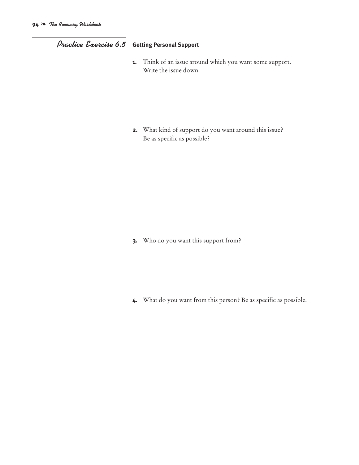# *Practice Exercise 6.5* **Getting Personal Support**

**1.** Think of an issue around which you want some support. Write the issue down.

**2.** What kind of support do you want around this issue? Be as specific as possible?

**3.** Who do you want this support from?

**4.** What do you want from this person? Be as specific as possible.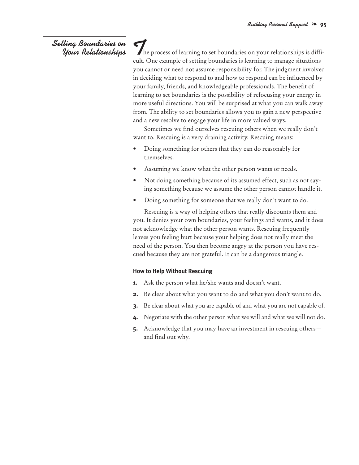# *Setting Boundaries on Your Relationships*

The process of learning to set boundaries on your relationships is difficult. One example of setting boundaries is learning to manage situations you cannot or need not assume responsibility for. The judgment involved in deciding what to respond to and how to respond can be influenced by your family, friends, and knowledgeable professionals. The benefit of learning to set boundaries is the possibility of refocusing your energy in more useful directions. You will be surprised at what you can walk away from. The ability to set boundaries allows you to gain a new perspective and a new resolve to engage your life in more valued ways.

Sometimes we find ourselves rescuing others when we really don't want to. Rescuing is a very draining activity. Rescuing means:

- Doing something for others that they can do reasonably for themselves.
- Assuming we know what the other person wants or needs.
- Not doing something because of its assumed effect, such as not saying something because we assume the other person cannot handle it.
- Doing something for someone that we really don't want to do.

Rescuing is a way of helping others that really discounts them and you. It denies your own boundaries, your feelings and wants, and it does not acknowledge what the other person wants. Rescuing frequently leaves you feeling hurt because your helping does not really meet the need of the person. You then become angry at the person you have rescued because they are not grateful. It can be a dangerous triangle.

## **How to Help Without Rescuing**

- **1.** Ask the person what he/she wants and doesn't want.
- **2.** Be clear about what you want to do and what you don't want to do.
- **3.** Be clear about what you are capable of and what you are not capable of.
- **4.** Negotiate with the other person what we will and what we will not do.
- **5.** Acknowledge that you may have an investment in rescuing others and find out why.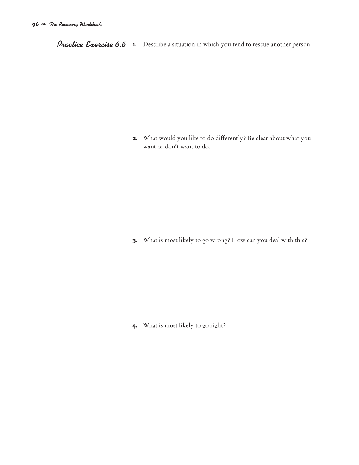*Practice Exercise 6.6* **1.** Describe <sup>a</sup> situation in which you tend to rescue another person.

**2.** What would you like to do differently? Be clear about what you want or don't want to do.

**3.** What is most likely to go wrong? How can you deal with this?

**4.** What is most likely to go right?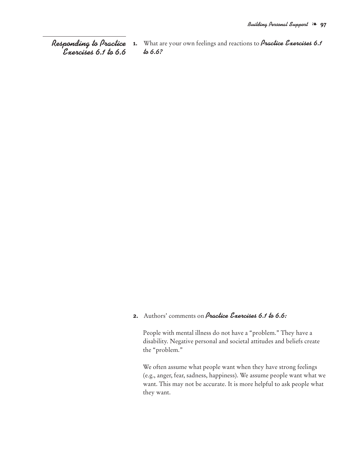*Responding to Practice Exercises 6.1 to 6.6* **1.** What are your own feelings and reactions to *Practice Exercises 6.1 to 6.6?*

## **2.** Authors' comments on *Practice Exercises 6.1 to 6.6:*

People with mental illness do not have a "problem." They have a disability. Negative personal and societal attitudes and beliefs create the "problem."

We often assume what people want when they have strong feelings (e.g., anger, fear, sadness, happiness). We assume people want what we want. This may not be accurate. It is more helpful to ask people what they want.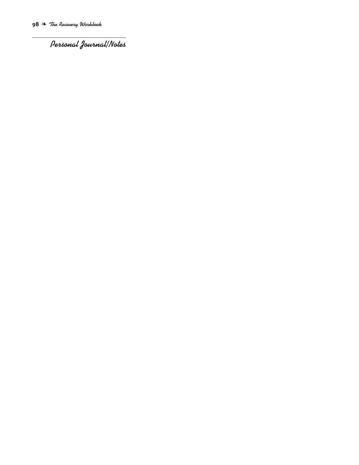*Personal Journal/Notes*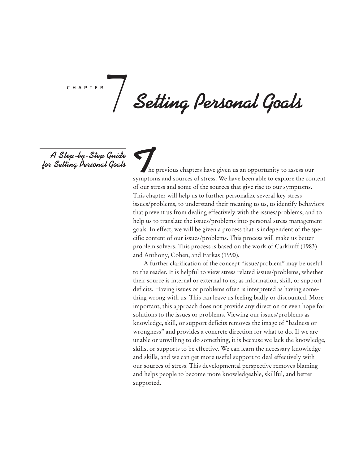c h a p t e r 7

*Setting Personal Goals*

*A Step-by-Step Guide for Setting Personal Goals*

*T*he previous chapters have given us an opportunity to assess our symptoms and sources of stress. We have been able to explore the content of our stress and some of the sources that give rise to our symptoms. This chapter will help us to further personalize several key stress issues/problems, to understand their meaning to us, to identify behaviors that prevent us from dealing effectively with the issues/problems, and to help us to translate the issues/problems into personal stress management goals. In effect, we will be given a process that is independent of the specific content of our issues/problems. This process will make us better problem solvers. This process is based on the work of Carkhuff (1983) and Anthony, Cohen, and Farkas (1990).

A further clarification of the concept "issue/problem" may be useful to the reader. It is helpful to view stress related issues/problems, whether their source is internal or external to us; as information, skill, or support deficits. Having issues or problems often is interpreted as having something wrong with us. This can leave us feeling badly or discounted. More important, this approach does not provide any direction or even hope for solutions to the issues or problems. Viewing our issues/problems as knowledge, skill, or support deficits removes the image of "badness or wrongness" and provides a concrete direction for what to do. If we are unable or unwilling to do something, it is because we lack the knowledge, skills, or supports to be effective. We can learn the necessary knowledge and skills, and we can get more useful support to deal effectively with our sources of stress. This developmental perspective removes blaming and helps people to become more knowledgeable, skillful, and better supported.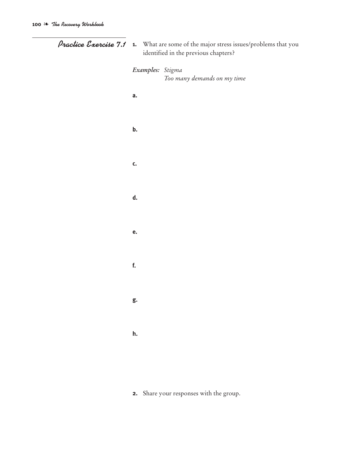| Practice Exercise 7.1 | 1. What are some of the major stress issues/problems that you<br>identified in the previous chapters? |  |
|-----------------------|-------------------------------------------------------------------------------------------------------|--|
|                       | Examples: Stigma<br>Too many demands on my time                                                       |  |
|                       | a.                                                                                                    |  |
|                       | b.                                                                                                    |  |
|                       | C.                                                                                                    |  |
|                       | d.                                                                                                    |  |
|                       | e.                                                                                                    |  |
|                       | f.                                                                                                    |  |
|                       | g.                                                                                                    |  |
|                       | h.                                                                                                    |  |
|                       |                                                                                                       |  |

**2.** Share your responses with the group.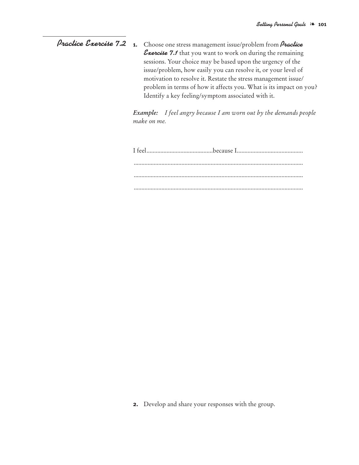## **1.** Choose one stress management issue/problem from *Practice Exercise 7.1* that you want to work on during the remaining sessions. Your choice may be based upon the urgency of the issue/problem, how easily you can resolve it, or your level of motivation to resolve it. Restate the stress management issue/ problem in terms of how it affects you. What is its impact on you? Identify a key feeling/symptom associated with it. *Practice Exercise 7.2*

*Example: I feel angry because I am worn out by the demands people make on me.*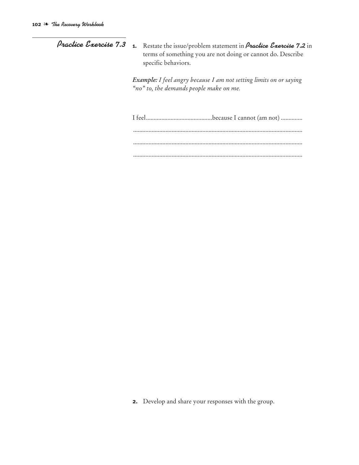| Practice Exercise 7.3 | <b>1.</b> Restate the issue/problem statement in <i>Practice Exercise</i> 7.2 in<br>terms of something you are not doing or cannot do. Describe<br>specific behaviors. |
|-----------------------|------------------------------------------------------------------------------------------------------------------------------------------------------------------------|
|                       | <b>Example:</b> I feel angry because I am not setting limits on or saying<br>"no" to, the demands people make on me.                                                   |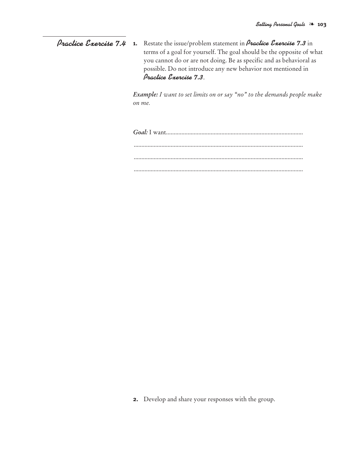**1.** Restate the issue/problem statement in *Practice Exercise 7.3* in terms of a goal for yourself. The goal should be the opposite of what you cannot do or are not doing. Be as specific and as behavioral as possible. Do not introduce any new behavior not mentioned in *Practice Exercise 7.3*. *Practice Exercise 7.4*

> *Example: I want to set limits on or say "no" to the demands people make on me.*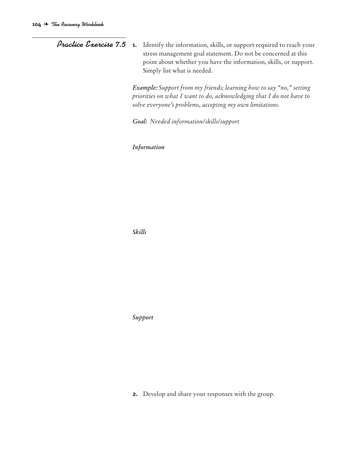*Practice Exercise* 7.5 **1.** Identify the information, skills, or support required to reach your stress management goal statement. Do not be concerned at this point about whether you have the information, skills, or support. Simply list what is needed.

> *Example: Support from my friends; learning how to say "no," setting priorities on what I want to do, acknowledging that I do not have to solve everyone's problems, accepting my own limitations.*

*Goal: Needed information/skills/support*

*Information*

*Skills*

*Support*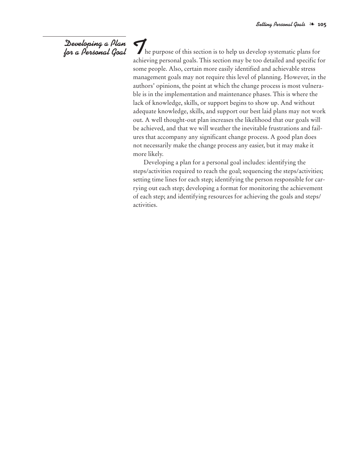# *Developing a Plan for a Personal Goal*

The purpose of this section is to help us develop systematic plans for achieving personal goals. This section may be too detailed and specific for some people. Also, certain more easily identified and achievable stress management goals may not require this level of planning. However, in the authors' opinions, the point at which the change process is most vulnerable is in the implementation and maintenance phases. This is where the lack of knowledge, skills, or support begins to show up. And without adequate knowledge, skills, and support our best laid plans may not work out. A well thought-out plan increases the likelihood that our goals will be achieved, and that we will weather the inevitable frustrations and failures that accompany any significant change process. A good plan does not necessarily make the change process any easier, but it may make it more likely.

Developing a plan for a personal goal includes: identifying the steps/activities required to reach the goal; sequencing the steps/activities; setting time lines for each step; identifying the person responsible for carrying out each step; developing a format for monitoring the achievement of each step; and identifying resources for achieving the goals and steps/ activities.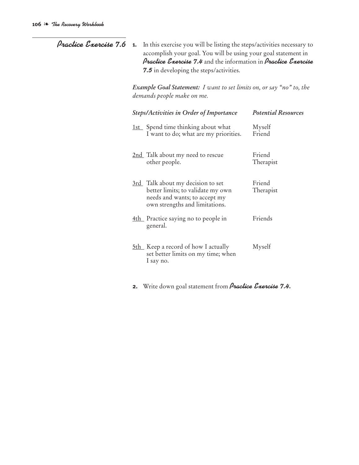| Practice Exercise 7.6 | In this exercise you will be listing the steps/activities necessary to<br>1.<br>accomplish your goal. You will be using your goal statement in<br><b>Practice Exercise 7.4</b> and the information in <b>Practice Exercise</b><br><b>7.5</b> in developing the steps/activities.<br>Example Goal Statement: I want to set limits on, or say "no" to, the<br>demands people make on me. |                                                                                                                                           |                            |
|-----------------------|----------------------------------------------------------------------------------------------------------------------------------------------------------------------------------------------------------------------------------------------------------------------------------------------------------------------------------------------------------------------------------------|-------------------------------------------------------------------------------------------------------------------------------------------|----------------------------|
|                       |                                                                                                                                                                                                                                                                                                                                                                                        |                                                                                                                                           |                            |
|                       | <b>Steps/Activities in Order of Importance</b>                                                                                                                                                                                                                                                                                                                                         |                                                                                                                                           | <b>Potential Resources</b> |
|                       |                                                                                                                                                                                                                                                                                                                                                                                        | 1st Spend time thinking about what<br>I want to do; what are my priorities.                                                               | Myself<br>Friend           |
|                       |                                                                                                                                                                                                                                                                                                                                                                                        | 2nd Talk about my need to rescue<br>other people.                                                                                         | Friend<br>Therapist        |
|                       |                                                                                                                                                                                                                                                                                                                                                                                        | 3rd Talk about my decision to set<br>better limits; to validate my own<br>needs and wants; to accept my<br>own strengths and limitations. | Friend<br>Therapist        |
|                       |                                                                                                                                                                                                                                                                                                                                                                                        | 4th Practice saying no to people in<br>general.                                                                                           | Friends                    |
|                       |                                                                                                                                                                                                                                                                                                                                                                                        | 5th Keep a record of how I actually<br>set better limits on my time; when<br>I say no.                                                    | Myself                     |

**2.** Write down goal statement from *Practice Exercise 7.4.*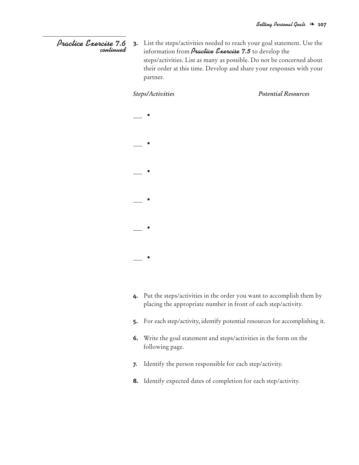#### **3.** List the steps/activities needed to reach your goal statement. Use the information from *Practice Exercise 7.5* to develop the steps/activities. List as many as possible. Do not be concerned about their order at this time. Develop and share your responses with your partner. *Practice Exercise 7.6 continued*

**•**

**•**

**•**

**•**

**•**

**•**

*Steps/Activities Potential Resources*

- **4.** Put the steps/activities in the order you want to accomplish them by placing the appropriate number in front of each step/activity.
	- **5.** For each step/activity, identify potential resources for accomplishing it.
	- **6.** Write the goal statement and steps/activities in the form on the following page.
	- **7.** Identify the person responsible for each step/activity.
	- **8.** Identify expected dates of completion for each step/activity.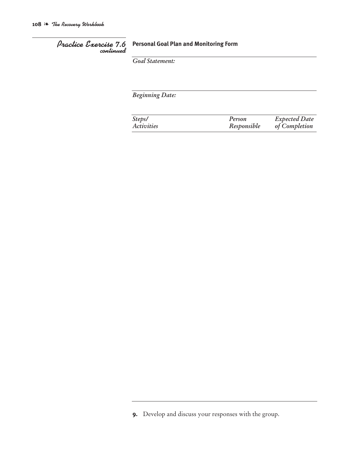# *Practice Exercise 7.6 continued*

# **Personal Goal Plan and Monitoring Form**

*Goal Statement:*

*Beginning Date:*

| Steps/     | Person      | <b>Expected Date</b> |
|------------|-------------|----------------------|
| Activities | Responsible | of Completion        |

**<sup>9.</sup>** Develop and discuss your responses with the group.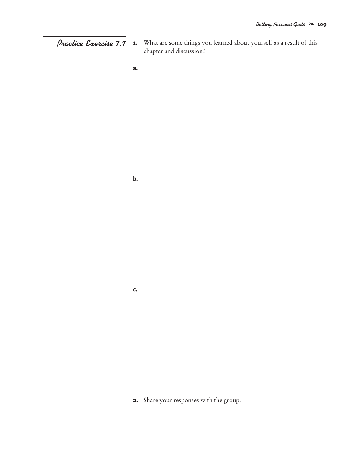**1.** What are some things you learned about yourself as a result of this *Practice Exercise 7.7* chapter and discussion?

**a.**

**b.**

**c.**

**2.** Share your responses with the group.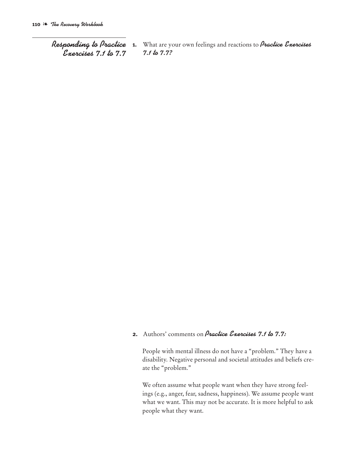*Responding to Practice Exercises 7.1 to 7.7*

**1.** What are your own feelings and reactions to *Practice Exercises 7.1 to 7.7?*

## **2.** Authors' comments on *Practice Exercises 7.1 to 7.7:*

People with mental illness do not have a "problem." They have a disability. Negative personal and societal attitudes and beliefs create the "problem."

We often assume what people want when they have strong feelings (e.g., anger, fear, sadness, happiness). We assume people want what we want. This may not be accurate. It is more helpful to ask people what they want.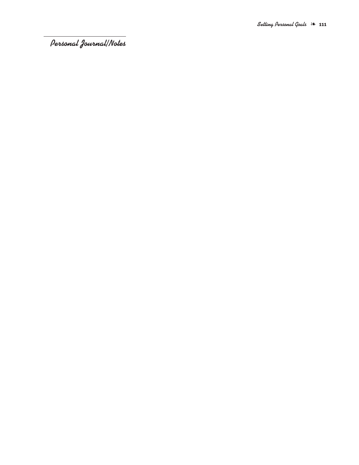*Personal Journal/Notes*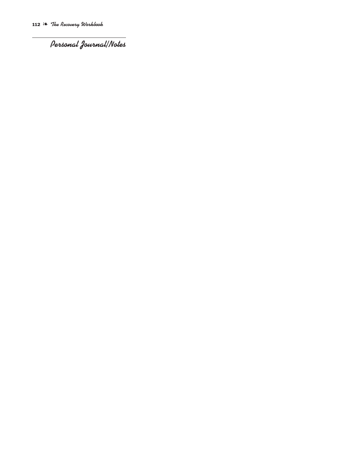*Personal Journal/Notes*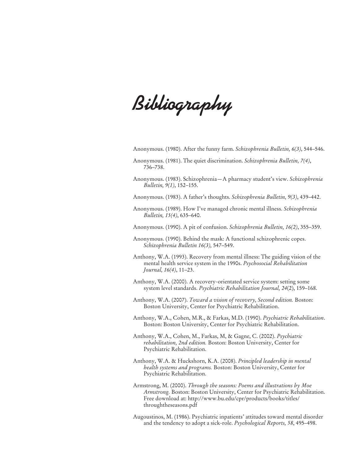*Bibliography*

Anonymous. (1980). After the funny farm. *Schizophrenia Bulletin, 6(3)*, 544–546.

- Anonymous. (1981). The quiet discrimination. *Schizophrenia Bulletin, 7(4)*, 736–738.
- Anonymous. (1983). Schizophrenia—A pharmacy student's view. *Schizophrenia Bulletin, 9(1)*, 152–155.
- Anonymous. (1983). A father's thoughts. *Schizophrenia Bulletin, 9(3)*, 439–442.
- Anonymous. (1989). How I've managed chronic mental illness. *Schizophrenia Bulletin, 15(4)*, 635–640.

Anonymous. (1990). A pit of confusion. *Schizophrenia Bulletin, 16(2)*, 355–359.

- Anonymous. (1990). Behind the mask: A functional schizophrenic copes. *Schizophrenia Bulletin 16(3),* 547–549.
- Anthony, W.A. (1993). Recovery from mental illness: The guiding vision of the mental health service system in the 1990s. *Psychosocial Rehabilitation Journal, 16(4)*, 11–23.
- Anthony, W.A. (2000). A recovery-orientated service system: setting some system level standards. *Psychiatric Rehabilitation Journal, 24*(2), 159–168.
- Anthony, W.A. (2007). *Toward a vision of recovery, Second edition.* Boston: Boston University, Center for Psychiatric Rehabilitation.
- Anthony, W.A., Cohen, M.R., & Farkas, M.D. (1990). *Psychiatric Rehabilitation*. Boston: Boston University, Center for Psychiatric Rehabilitation.
- Anthony, W.A., Cohen, M., Farkas, M, & Gagne, C. (2002). *Psychiatric rehabilitation, 2nd edition.* Boston: Boston University, Center for Psychiatric Rehabilitation.
- Anthony, W.A. & Huckshorn, K.A. (2008). *Principled leadership in mental health systems and programs.* Boston: Boston University, Center for Psychiatric Rehabilitation.
- Armstrong, M. (2000). *Through the seasons: Poems and illustrations by Moe Armstrong.* Boston: Boston University, Center for Psychiatric Rehabilitation. Free download at: http://www.bu.edu/cpr/products/books/titles/ throughtheseasons.pdf
- Augoustinos, M. (1986). Psychiatric inpatients' attitudes toward mental disorder and the tendency to adopt a sick-role. *Psychological Reports, 58*, 495–498.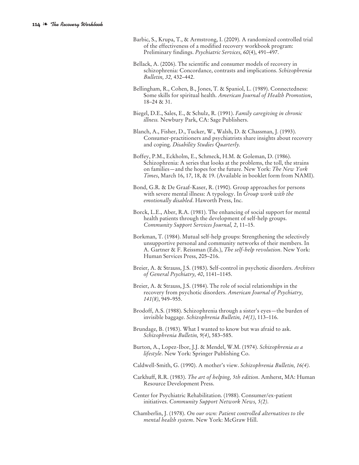- Barbic, S., Krupa, T., & Armstrong, I. (2009). A randomized controlled trial of the effectiveness of a modified recovery workbook program: Preliminary findings. *Psychiatric Services, 60*(4), 491–497.
- Bellack, A. (2006). The scientific and consumer models of recovery in schizophrenia: Concordance, contrasts and implications. *Schizophrenia Bulletin, 32,* 432–442.
- Bellingham, R., Cohen, B., Jones, T. & Spaniol, L. (1989). Connectedness: Some skills for spiritual health. *American Journal of Health Promotion*, 18–24 & 31.
- Biegel, D.E., Sales, E., & Schulz, R. (1991). *Family caregiving in chronic illness.* Newbury Park, CA: Sage Publishers.
- Blanch, A., Fisher, D., Tucker, W., Walsh, D. & Chassman, J. (1993). Consumer-practitioners and psychiatrists share insights about recovery and coping. *Disability Studies Quarterly.*
- Boffey, P.M., Eckholm, E., Schmeck, H.M. & Goleman, D. (1986). Schizophrenia: A series that looks at the problems, the toll, the strains on families—and the hopes for the future. New York: *The New York Times*, March 16, 17, 18, & 19. (Available in booklet form from NAMI).
- Bond, G.R. & De Graaf-Kaser, R. (1990). Group approaches for persons with severe mental illness: A typology. In *Group work with the emotionally disabled*. Haworth Press, Inc.
- Borck, L.E., Aber, R.A. (1981). The enhancing of social support for mental health patients through the development of self-help groups. *Community Support Services Journal, 2*, 11–15.
- Borkman, T. (1984). Mutual self-help groups: Strengthening the selectively unsupportive personal and community networks of their members. In A. Gartner & F. Reissman (Eds.), *The self-help revolution*. New York: Human Services Press, 205–216.
- Breier, A. & Strauss, J.S. (1983). Self-control in psychotic disorders. *Archives of General Psychiatry, 40*, 1141–1145.
- Breier, A. & Strauss, J.S. (1984). The role of social relationships in the recovery from psychotic disorders. *American Journal of Psychiatry, 141(8)*, 949–955.
- Brodoff, A.S. (1988). Schizophrenia through a sister's eyes—the burden of invisible baggage. *Schizophrenia Bulletin, 14(1)*, 113–116.
- Brundage, B. (1983). What I wanted to know but was afraid to ask. *Schizophrenia Bulletin, 9(4)*, 583–585.
- Burton, A., Lopez-Ibor, J.J. & Mendel, W.M. (1974). *Schizophrenia as a lifestyle*. New York: Springer Publishing Co.
- Caldwell-Smith, G. (1990). A mother's view. *Schizophrenia Bulletin, 16(4)*.
- Carkhuff, R.R. (1983). *The art of helping, 5th edition*. Amherst, MA: Human Resource Development Press.
- Center for Psychiatric Rehabilitation. (1988). Consumer/ex-patient initiatives. *Community Support Network News, 5(2)*.
- Chamberlin, J. (1978). *On our own: Patient controlled alternatives to the mental health system*. New York: McGraw Hill.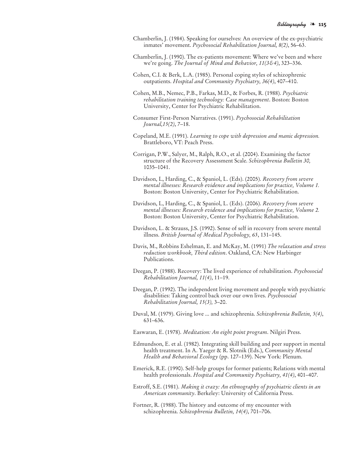- Chamberlin, J. (1984). Speaking for ourselves: An overview of the ex-psychiatric inmates' movement. *Psychosocial Rehabilitation Journal, 8(2)*, 56–63.
- Chamberlin, J. (1990). The ex-patients movement: Where we've been and where we're going. *The Journal of Mind and Behavior, 11(3&4)*, 323–336.
- Cohen, C.I. & Berk, L.A. (1985). Personal coping styles of schizophrenic outpatients. *Hospital and Community Psychiatry, 36(4)*, 407–410.
- Cohen, M.B., Nemec, P.B., Farkas, M.D., & Forbes, R. (1988). *Psychiatric rehabilitation training technology: Case management*. Boston: Boston University, Center for Psychiatric Rehabilitation.
- Consumer First-Person Narratives. (1991). *Psychosocial Rehabilitation Journal,15(2)*, 7–18.
- Copeland, M.E. (1991). *Learning to cope with depression and manic depression.* Brattleboro, VT: Peach Press.
- Corrigan, P.W., Salyer, M., Ralph, R.O., et al. (2004). Examining the factor structure of the Recovery Assessment Scale. *Schizophrenia Bulletin 30,* 1035–1041.
- Davidson, L, Harding, C., & Spaniol, L. (Eds). (2005). *Recovery from severe mental illnesses: Research evidence and implications for practice, Volume 1.* Boston: Boston University, Center for Psychiatric Rehabilitation.
- Davidson, L, Harding, C., & Spaniol, L. (Eds). (2006). *Recovery from severe mental illnesses: Research evidence and implications for practice, Volume 2.* Boston: Boston University, Center for Psychiatric Rehabilitation.
- Davidson, L. & Strauss, J.S. (1992). Sense of self in recovery from severe mental illness. *British Journal of Medical Psychology, 65*, 131–145.
- Davis, M., Robbins Eshelman, E. and McKay, M. (1991) *The relaxation and stress reduction workbook, Third edition*. Oakland, CA: New Harbinger Publications.
- Deegan, P. (1988). Recovery: The lived experience of rehabilitation. *Psychosocial Rehabilitation Journal, 11(4)*, 11–19.
- Deegan, P. (1992). The independent living movement and people with psychiatric disabilities: Taking control back over our own lives. *Psychosocial Rehabilitation Journal, 15(3),* 3–20.
- Duval, M. (1979). Giving love ... and schizophrenia. *Schizophrenia Bulletin, 5(4)*, 631–636.
- Easwaran, E. (1978). *Meditation: An eight point program*. Nilgiri Press.
- Edmundson, E. et al. (1982). Integrating skill building and peer support in mental health treatment. In A. Yaeger & R. Slotnik (Eds.), *Community Mental Health and Behavioral Ecology* (pp. 127–139). New York: Plenum.
- Emerick, R.E. (1990). Self-help groups for former patients; Relations with mental health professionals. *Hospital and Community Psychiatry, 41(4)*, 401–407.
- Estroff, S.E. (1981). *Making it crazy: An ethnography of psychiatric clients in an American community*. Berkeley: University of California Press.
- Fortner, R. (1988). The history and outcome of my encounter with schizophrenia. *Schizophrenia Bulletin, 14(4)*, 701–706.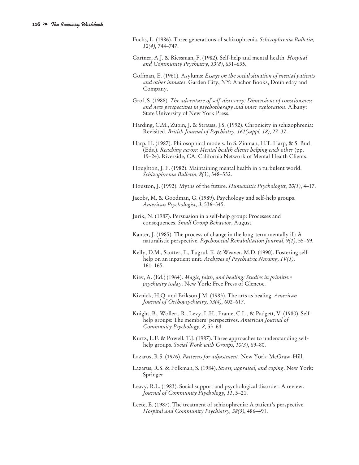- Fuchs, L. (1986). Three generations of schizophrenia. *Schizophrenia Bulletin, 12(4)*, 744–747.
- Gartner, A.J. & Riessman, F. (1982). Self-help and mental health. *Hospital and Community Psychiatry, 33(8)*, 631–635.
- Goffman, E. (1961). Asylums: *Essays on the social situation of mental patients and other inmates*. Garden City, NY: Anchor Books, Doubleday and Company.
- Grof, S. (1988). *The adventure of self-discovery: Dimensions of consciousness and new perspectives in psychotherapy and inner exploration*. Albany: State University of New York Press.
- Harding, C.M., Zubin, J. & Strauss, J.S. (1992). Chronicity in schizophrenia: Revisited. *British Journal of Psychiatry, 161(suppl. 18)*, 27–37.
- Harp, H. (1987). Philosophical models. In S. Zinman, H.T. Harp, & S. Bud (Eds.). *Reaching across: Mental health clients helping each other* (pp. 19–24). Riverside, CA: California Network of Mental Health Clients.
- Houghton, J. F. (1982). Maintaining mental health in a turbulent world. *Schizophrenia Bulletin, 8(3)*, 548–552.
- Houston, J. (1992). Myths of the future. *Humanistic Psychologist, 20(1)*, 4–17.
- Jacobs, M. & Goodman, G. (1989). Psychology and self-help groups. *American Psychologist, 3*, 536–545.
- Jurik, N. (1987). Persuasion in a self-help group: Processes and consequences. *Small Group Behavior*, August.
- Kanter, J. (1985). The process of change in the long-term mentally ill: A naturalistic perspective. *Psychosocial Rehabilitation Journal, 9(1)*, 55–69.
- Kelly, D.M., Sautter, F., Tugrul, K. & Weaver, M.D. (1990). Fostering selfhelp on an inpatient unit. *Archives of Psychiatric Nursing, IV(3)*, 161–165.
- Kiev, A. (Ed.) (1964). *Magic, faith, and healing: Studies in primitive psychiatry today*. New York: Free Press of Glencoe.
- Kivnick, H.Q. and Erikson J.M. (1983). The arts as healing. *American Journal of Orthopsychiatry, 53(4),* 602–617.
- Knight, B., Wollert, R., Levy, L.H., Frame, C.L., & Padgett, V. (1980). Selfhelp groups: The members' perspectives. *American Journal of Community Psychology, 8*, 53–64.
- Kurtz, L.F. & Powell, T.J. (1987). Three approaches to understanding selfhelp groups. *Social Work with Groups, 10(3)*, 69–80.
- Lazarus, R.S. (1976). *Patterns for adjustment*. New York: McGraw-Hill.
- Lazarus, R.S. & Folkman, S. (1984). *Stress, appraisal, and coping*. New York: Springer.
- Leavy, R.L. (1983). Social support and psychological disorder: A review. *Journal of Community Psychology, 11*, 3–21.
- Leete, E. (1987). The treatment of schizophrenia: A patient's perspective. *Hospital and Community Psychiatry, 38(5)*, 486–491.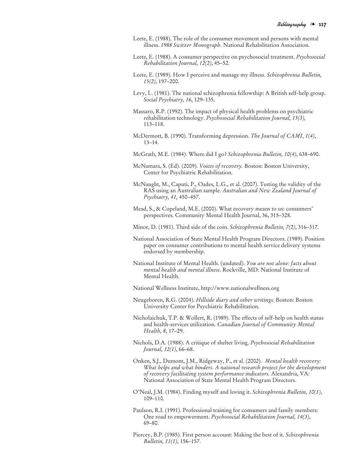- Leete, E. (1988). The role of the consumer movement and persons with mental illness. *1988 Switzer Monograph*. National Rehabilitation Association.
- Leete, E. (1988). A consumer perspective on psychosocial treatment. *Psychosocial Rehabilitation Journal, 12(2)*, 45–52.
- Leete, E. (1989). How I perceive and manage my illness. *Schizophrenia Bulletin, 15(2)*, 197–200.
- Levy, L. (1981). The national schizophrenia fellowship: A British self-help group. *Social Psychiatry, 16*, 129–135.
- Massaro, R.P. (1992). The impact of physical health problems on psychiatric rehabilitation technology. *Psychosocial Rehabilitation Journal, 15(3),* 113–118.
- McDermott, B. (1990). Transforming depression. *The Journal of CAMI, 1(4)*, 13–14.
- McGrath, M.E. (1984). Where did I go? *Schizophrenia Bulletin, 10(4)*, 638–690.
- McNamara, S. (Ed). (2009). *Voices of recovery.* Boston: Boston University, Center for Psychiatric Rehabilitation.
- McNaught, M., Caputi, P., Oades, L.G., et al. (2007). Testing the validity of the RAS using an Australian sample. *Australian and New Zealand Journal of Psychiatry, 41,* 450–457.
- Mead, S., & Copeland, M.E. (2000). What recovery means to us: consumers' perspectives. Community Mental Health Journal, 36, 315–328.
- Minor, D. (1981). Third side of the coin. *Schizophrenia Bulletin, 7(2)*, 316–317.
- National Association of State Mental Health Program Directors. (1989). Position paper on consumer contributions to mental health service delivery systems endorsed by membership.
- National Institute of Mental Health. (undated). *You are not alone: facts about mental health and mental illness*. Rockville, MD: National Institute of Mental Health.
- National Wellness Institute, http://www.nationalwellness.org
- Neugeboren, R.G. (2004). *Hillside diary and other writings.* Boston: Boston University Center for Psychiatric Rehabilitation.
- Nicholaichuk, T.P. & Wollert, R. (1989). The effects of self-help on health status and health-services utilization. *Canadian Journal of Community Mental Health, 8*, 17–29.
- Nichols, D.A. (1988). A critique of shelter living. *Psychosocial Rehabilitation Journal, 12(1)*, 66–68.
- Onken, S.J., Dumont, J.M., Ridgeway, P., et al. (2002). *Mental health recovery: What helps and what hinders. A national research project for the development of recovery facilitating system performance indicators.* Alexandria, VA: National Association of State Mental Health Program Directors.
- O'Neal, J.M. (1984). Finding myself and loving it. *Schizophrenia Bulletin, 10(1)*, 109–110.
- Paulson, R.I. (1991). Professional training for consumers and family members: One road to empowerment. *Psychosocial Rehabilitation Journal, 14(3)*, 69–80.
- Piercey, B.P. (1985). First person account: Making the best of it. *Schizophrenia Bulletin, 11(1)*, 156–157.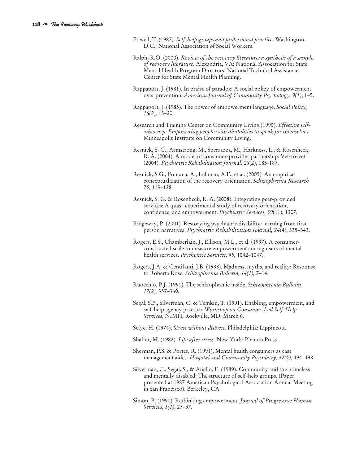- Powell, T. (1987). *Self-help groups and professional practice*. Washington, D.C.: National Association of Social Workers.
- Ralph, R.O. (2000). *Review of the recovery literature: a synthesis of a sample of recovery literature.* Alexandria, VA: National Association for State Mental Health Program Directors, National Technical Assistance Center for State Mental Health Planning.
- Rappaport, J. (1981). In praise of paradox: A social policy of empowerment over prevention. *American Journal of Community Psychology, 9(1)*, 1–5.
- Rappaport, J. (1985). The power of empowerment language. *Social Policy, 16(2),* 15–20.
- Research and Training Center on Community Living (1990). *Effective selfadvocacy: Empowering people with disabilities to speak for themselves.* Minneapolis Institute on Community Living.
- Resnick, S. G., Armstrong, M., Sperrazza, M., Harkness, L., & Rosenheck, R. A. (2004). A model of consumer-provider partnership: Vet-to-vet. (2004). *Psychiatric Rehabilitation Journal, 28*(2), 185-187.
- Resnick, S.G., Fontana, A., Lehman, A.F., et al. (2005). An empirical conceptualization of the recovery orientation. *Schizophrenia Research 75,* 119–128.
- Resnick, S. G. & Rosenheck, R. A. (2008). Integrating peer-provided services: A quasi-experimental study of recovery orientation, confidence, and empowerment. *Psychiatric Services, 59*(11), 1307.
- Ridgeway, P. (2001). Restorying psychiatric disability: learning from first person narratives. *Psychiatric Rehabilitation Journal, 24*(4), 335–343.
- Rogers, E.S., Chamberlain, J., Ellison, M.L., et al. (1997). A consumerconstructed scale to measure empowerment among users of mental health services. *Psychiatric Services, 48,* 1042–1047.
- Rogers, J.A. & Centifanti, J.B. (1988). Madness, myths, and reality: Response to Roberta Rose. *Schizophrenia Bulletin, 14(1),* 7–14.
- Ruocchio, P.J. (1991). The schizophrenic inside. *Schizophrenia Bulletin, 17(2),* 357–360.
- Segal, S.P., Silverman, C. & Temkin, T. (1991). Enabling, empowerment, and self-help agency practice. *Workshop on Consumer-Led Self-Help Services*, NIMH, Rockville, MD, March 6.
- Selye, H. (1974). *Stress without distress*. Philadelphia: Lippincott.
- Shaffer, M. (1982). *Life after stress*. New York: Plenum Press.
- Sherman, P.S. & Porter, R. (1991). Mental health consumers as case management aides. *Hospital and Community Psychiatry, 42(5)*, 494–498.
- Silverman, C., Segal, S., & Anello, E. (1989). Community and the homeless and mentally disabled: The structure of self-help groups. (Paper presented at 1987 American Psychological Association Annual Meeting in San Francisco). Berkeley, CA.
- Simon, B. (1990). Rethinking empowerment. *Journal of Progressive Human Services, 1(1)*, 27–37.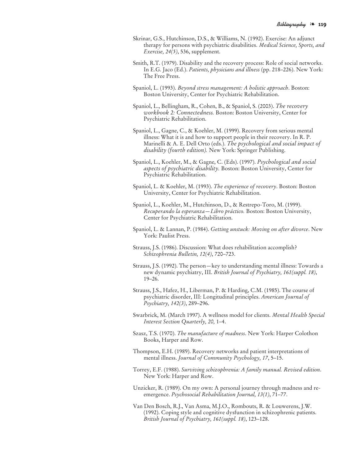- Skrinar, G.S., Hutchinson, D.S., & Williams, N. (1992). Exercise: An adjunct therapy for persons with psychiatric disabilities. *Medical Science, Sports, and Exercise, 24(5)*, 536, supplement.
- Smith, R.T. (1979). Disability and the recovery process: Role of social networks. In E.G. Jaco (Ed.). *Patients, physicians and illness* (pp. 218–226). New York: The Free Press.
- Spaniol, L. (1993). *Beyond stress management: A holistic approach*. Boston: Boston University, Center for Psychiatric Rehabilitation.
- Spaniol, L., Bellingham, R., Cohen, B., & Spaniol, S. (2003). *The recovery workbook 2: Connectedness.* Boston: Boston University, Center for Psychiatric Rehabilitation.
- Spaniol, L., Gagne, C., & Koehler, M. (1999). Recovery from serious mental illness: What it is and how to support people in their recovery. In R. P. Marinelli & A. E. Dell Orto (eds.). *The psychological and social impact of disability (fourth edition).* New York: Springer Publishing.
- Spaniol, L., Koehler, M., & Gagne, C. (Eds). (1997). *Psychological and social aspects of psychiatric disability.* Boston: Boston University, Center for Psychiatric Rehabilitation.
- Spaniol, L. & Koehler, M. (1993). *The experience of recovery*. Boston: Boston University, Center for Psychiatric Rehabilitation.
- Spaniol, L., Koehler, M., Hutchinson, D., & Restrepo-Toro, M. (1999). *Recuperando la esperanza—Libro práctico.* Boston: Boston University, Center for Psychiatric Rehabilitation.
- Spaniol, L. & Lannan, P. (1984). *Getting unstuck: Moving on after divorce*. New York: Paulist Press.
- Strauss, J.S. (1986). Discussion: What does rehabilitation accomplish? *Schizophrenia Bulletin, 12(4)*, 720–723.
- Strauss, J.S. (1992). The person—key to understanding mental illness: Towards a new dynamic psychiatry, III. *British Journal of Psychiatry, 161(suppl. 18)*, 19–26.
- Strauss, J.S., Hafez, H., Liberman, P. & Harding, C.M. (1985). The course of psychiatric disorder, III: Longitudinal principles. *American Journal of Psychiatry, 142(3)*, 289–296.
- Swarbrick, M. (March 1997). A wellness model for clients. *Mental Health Special Interest Section Quarterly, 20,* 1–4.
- Szasz, T.S. (1970). *The manufacture of madness*. New York: Harper Colothon Books, Harper and Row.
- Thompson, E.H. (1989). Recovery networks and patient interpretations of mental illness. *Journal of Community Psychology, 17*, 5–15.
- Torrey, E.F. (1988). *Surviving schizophrenia: A family manual. Revised edition*. New York: Harper and Row.
- Unzicker, R. (1989). On my own: A personal journey through madness and reemergence. *Psychosocial Rehabilitation Journal, 13(1)*, 71–77.
- Van Den Bosch, R.J., Van Asma, M.J.O., Rombouts, R. & Louwerens, J.W. (1992). Coping style and cognitive dysfunction in schizophrenic patients. *British Journal of Psychiatry, 161(suppl. 18)*, 123–128.